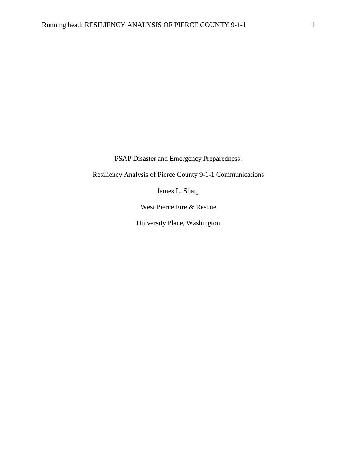PSAP Disaster and Emergency Preparedness:

Resiliency Analysis of Pierce County 9-1-1 Communications

James L. Sharp

West Pierce Fire & Rescue

University Place, Washington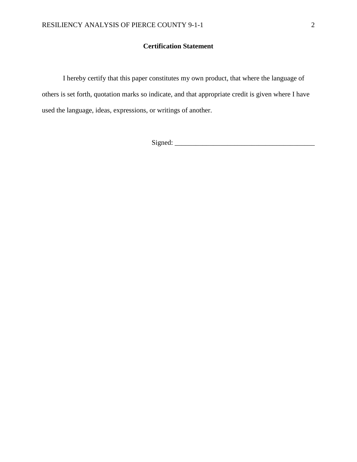## **Certification Statement**

I hereby certify that this paper constitutes my own product, that where the language of others is set forth, quotation marks so indicate, and that appropriate credit is given where I have used the language, ideas, expressions, or writings of another.

Signed: \_\_\_\_\_\_\_\_\_\_\_\_\_\_\_\_\_\_\_\_\_\_\_\_\_\_\_\_\_\_\_\_\_\_\_\_\_\_\_\_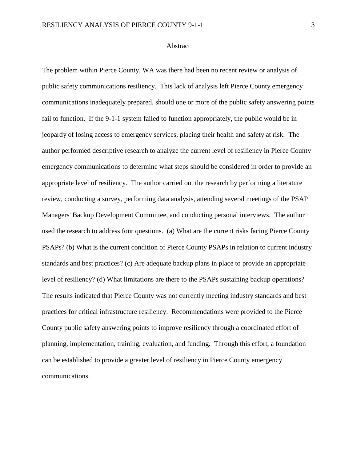#### Abstract

The problem within Pierce County, WA was there had been no recent review or analysis of public safety communications resiliency. This lack of analysis left Pierce County emergency communications inadequately prepared, should one or more of the public safety answering points fail to function. If the 9-1-1 system failed to function appropriately, the public would be in jeopardy of losing access to emergency services, placing their health and safety at risk. The author performed descriptive research to analyze the current level of resiliency in Pierce County emergency communications to determine what steps should be considered in order to provide an appropriate level of resiliency. The author carried out the research by performing a literature review, conducting a survey, performing data analysis, attending several meetings of the PSAP Managers' Backup Development Committee, and conducting personal interviews. The author used the research to address four questions. (a) What are the current risks facing Pierce County PSAPs? (b) What is the current condition of Pierce County PSAPs in relation to current industry standards and best practices? (c) Are adequate backup plans in place to provide an appropriate level of resiliency? (d) What limitations are there to the PSAPs sustaining backup operations? The results indicated that Pierce County was not currently meeting industry standards and best practices for critical infrastructure resiliency. Recommendations were provided to the Pierce County public safety answering points to improve resiliency through a coordinated effort of planning, implementation, training, evaluation, and funding. Through this effort, a foundation can be established to provide a greater level of resiliency in Pierce County emergency communications.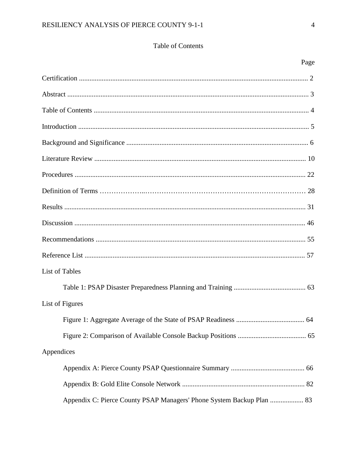# Table of Contents

| List of Tables                                                        |
|-----------------------------------------------------------------------|
|                                                                       |
| List of Figures                                                       |
|                                                                       |
|                                                                       |
| Appendices                                                            |
|                                                                       |
|                                                                       |
| Appendix C: Pierce County PSAP Managers' Phone System Backup Plan  83 |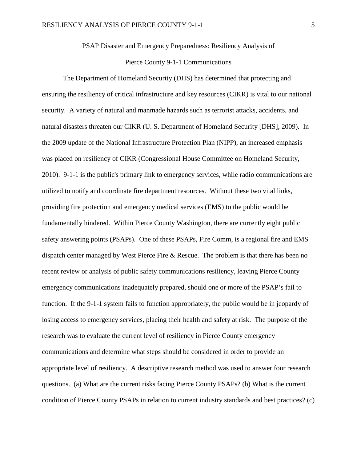PSAP Disaster and Emergency Preparedness: Resiliency Analysis of

## Pierce County 9-1-1 Communications

The Department of Homeland Security (DHS) has determined that protecting and ensuring the resiliency of critical infrastructure and key resources (CIKR) is vital to our national security. A variety of natural and manmade hazards such as terrorist attacks, accidents, and natural disasters threaten our CIKR (U. S. Department of Homeland Security [DHS], 2009). In the 2009 update of the National Infrastructure Protection Plan (NIPP), an increased emphasis was placed on resiliency of CIKR (Congressional House Committee on Homeland Security, 2010). 9-1-1 is the public's primary link to emergency services, while radio communications are utilized to notify and coordinate fire department resources. Without these two vital links, providing fire protection and emergency medical services (EMS) to the public would be fundamentally hindered. Within Pierce County Washington, there are currently eight public safety answering points (PSAPs). One of these PSAPs, Fire Comm, is a regional fire and EMS dispatch center managed by West Pierce Fire & Rescue. The problem is that there has been no recent review or analysis of public safety communications resiliency, leaving Pierce County emergency communications inadequately prepared, should one or more of the PSAP's fail to function. If the 9-1-1 system fails to function appropriately, the public would be in jeopardy of losing access to emergency services, placing their health and safety at risk. The purpose of the research was to evaluate the current level of resiliency in Pierce County emergency communications and determine what steps should be considered in order to provide an appropriate level of resiliency. A descriptive research method was used to answer four research questions. (a) What are the current risks facing Pierce County PSAPs? (b) What is the current condition of Pierce County PSAPs in relation to current industry standards and best practices? (c)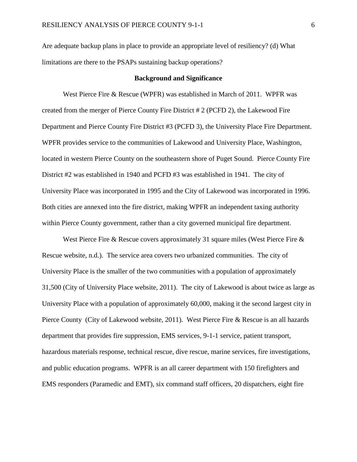Are adequate backup plans in place to provide an appropriate level of resiliency? (d) What limitations are there to the PSAPs sustaining backup operations?

#### **Background and Significance**

West Pierce Fire & Rescue (WPFR) was established in March of 2011. WPFR was created from the merger of Pierce County Fire District # 2 (PCFD 2), the Lakewood Fire Department and Pierce County Fire District #3 (PCFD 3), the University Place Fire Department. WPFR provides service to the communities of Lakewood and University Place, Washington, located in western Pierce County on the southeastern shore of Puget Sound. Pierce County Fire District #2 was established in 1940 and PCFD #3 was established in 1941. The city of University Place was incorporated in 1995 and the City of Lakewood was incorporated in 1996. Both cities are annexed into the fire district, making WPFR an independent taxing authority within Pierce County government, rather than a city governed municipal fire department.

West Pierce Fire & Rescue covers approximately 31 square miles (West Pierce Fire  $\&$ Rescue website, n.d.). The service area covers two urbanized communities. The city of University Place is the smaller of the two communities with a population of approximately 31,500 (City of University Place website, 2011). The city of Lakewood is about twice as large as University Place with a population of approximately 60,000, making it the second largest city in Pierce County (City of Lakewood website, 2011). West Pierce Fire & Rescue is an all hazards department that provides fire suppression, EMS services, 9-1-1 service, patient transport, hazardous materials response, technical rescue, dive rescue, marine services, fire investigations, and public education programs. WPFR is an all career department with 150 firefighters and EMS responders (Paramedic and EMT), six command staff officers, 20 dispatchers, eight fire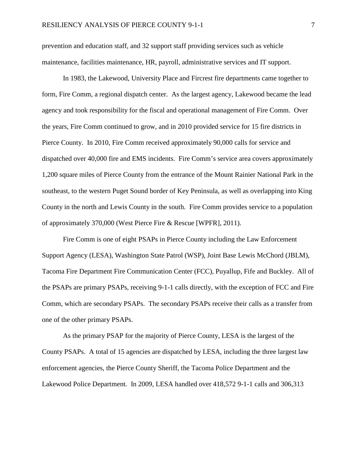prevention and education staff, and 32 support staff providing services such as vehicle maintenance, facilities maintenance, HR, payroll, administrative services and IT support.

In 1983, the Lakewood, University Place and Fircrest fire departments came together to form, Fire Comm, a regional dispatch center. As the largest agency, Lakewood became the lead agency and took responsibility for the fiscal and operational management of Fire Comm. Over the years, Fire Comm continued to grow, and in 2010 provided service for 15 fire districts in Pierce County. In 2010, Fire Comm received approximately 90,000 calls for service and dispatched over 40,000 fire and EMS incidents. Fire Comm's service area covers approximately 1,200 square miles of Pierce County from the entrance of the Mount Rainier National Park in the southeast, to the western Puget Sound border of Key Peninsula, as well as overlapping into King County in the north and Lewis County in the south. Fire Comm provides service to a population of approximately 370,000 (West Pierce Fire & Rescue [WPFR], 2011).

Fire Comm is one of eight PSAPs in Pierce County including the Law Enforcement Support Agency (LESA), Washington State Patrol (WSP), Joint Base Lewis McChord (JBLM), Tacoma Fire Department Fire Communication Center (FCC), Puyallup, Fife and Buckley. All of the PSAPs are primary PSAPs, receiving 9-1-1 calls directly, with the exception of FCC and Fire Comm, which are secondary PSAPs. The secondary PSAPs receive their calls as a transfer from one of the other primary PSAPs.

As the primary PSAP for the majority of Pierce County, LESA is the largest of the County PSAPs. A total of 15 agencies are dispatched by LESA, including the three largest law enforcement agencies, the Pierce County Sheriff, the Tacoma Police Department and the Lakewood Police Department. In 2009, LESA handled over 418,572 9-1-1 calls and 306,313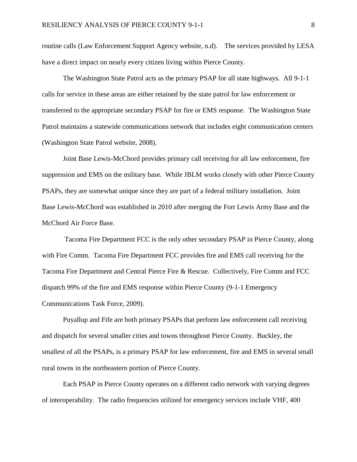routine calls (Law Enforcement Support Agency website, n.d). The services provided by LESA have a direct impact on nearly every citizen living within Pierce County.

The Washington State Patrol acts as the primary PSAP for all state highways. All 9-1-1 calls for service in these areas are either retained by the state patrol for law enforcement or transferred to the appropriate secondary PSAP for fire or EMS response. The Washington State Patrol maintains a statewide communications network that includes eight communication centers (Washington State Patrol website, 2008).

Joint Base Lewis-McChord provides primary call receiving for all law enforcement, fire suppression and EMS on the military base. While JBLM works closely with other Pierce County PSAPs, they are somewhat unique since they are part of a federal military installation. Joint Base Lewis-McChord was established in 2010 after merging the Fort Lewis Army Base and the McChord Air Force Base.

Tacoma Fire Department FCC is the only other secondary PSAP in Pierce County, along with Fire Comm. Tacoma Fire Department FCC provides fire and EMS call receiving for the Tacoma Fire Department and Central Pierce Fire & Rescue. Collectively, Fire Comm and FCC dispatch 99% of the fire and EMS response within Pierce County (9-1-1 Emergency Communications Task Force, 2009).

Puyallup and Fife are both primary PSAPs that perform law enforcement call receiving and dispatch for several smaller cities and towns throughout Pierce County. Buckley, the smallest of all the PSAPs, is a primary PSAP for law enforcement, fire and EMS in several small rural towns in the northeastern portion of Pierce County.

Each PSAP in Pierce County operates on a different radio network with varying degrees of interoperability. The radio frequencies utilized for emergency services include VHF, 400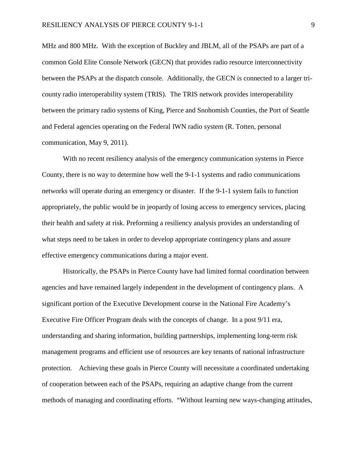MHz and 800 MHz. With the exception of Buckley and JBLM, all of the PSAPs are part of a common Gold Elite Console Network (GECN) that provides radio resource interconnectivity between the PSAPs at the dispatch console. Additionally, the GECN is connected to a larger tricounty radio interoperability system (TRIS). The TRIS network provides interoperability between the primary radio systems of King, Pierce and Snohomish Counties, the Port of Seattle and Federal agencies operating on the Federal IWN radio system (R. Totten, personal communication, May 9, 2011).

With no recent resiliency analysis of the emergency communication systems in Pierce County, there is no way to determine how well the 9-1-1 systems and radio communications networks will operate during an emergency or disaster. If the 9-1-1 system fails to function appropriately, the public would be in jeopardy of losing access to emergency services, placing their health and safety at risk. Preforming a resiliency analysis provides an understanding of what steps need to be taken in order to develop appropriate contingency plans and assure effective emergency communications during a major event.

Historically, the PSAPs in Pierce County have had limited formal coordination between agencies and have remained largely independent in the development of contingency plans. A significant portion of the Executive Development course in the National Fire Academy's Executive Fire Officer Program deals with the concepts of change. In a post 9/11 era, understanding and sharing information, building partnerships, implementing long-term risk management programs and efficient use of resources are key tenants of national infrastructure protection. Achieving these goals in Pierce County will necessitate a coordinated undertaking of cooperation between each of the PSAPs, requiring an adaptive change from the current methods of managing and coordinating efforts. "Without learning new ways-changing attitudes,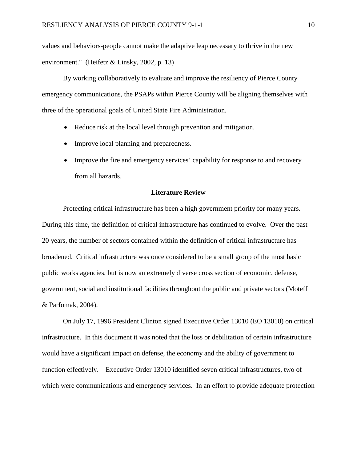values and behaviors-people cannot make the adaptive leap necessary to thrive in the new environment." (Heifetz & Linsky, 2002, p. 13)

By working collaboratively to evaluate and improve the resiliency of Pierce County emergency communications, the PSAPs within Pierce County will be aligning themselves with three of the operational goals of United State Fire Administration.

- Reduce risk at the local level through prevention and mitigation.
- Improve local planning and preparedness.
- Improve the fire and emergency services' capability for response to and recovery from all hazards.

## **Literature Review**

Protecting critical infrastructure has been a high government priority for many years. During this time, the definition of critical infrastructure has continued to evolve. Over the past 20 years, the number of sectors contained within the definition of critical infrastructure has broadened. Critical infrastructure was once considered to be a small group of the most basic public works agencies, but is now an extremely diverse cross section of economic, defense, government, social and institutional facilities throughout the public and private sectors (Moteff & Parfomak, 2004).

On July 17, 1996 President Clinton signed Executive Order 13010 (EO 13010) on critical infrastructure. In this document it was noted that the loss or debilitation of certain infrastructure would have a significant impact on defense, the economy and the ability of government to function effectively. Executive Order 13010 identified seven critical infrastructures, two of which were communications and emergency services. In an effort to provide adequate protection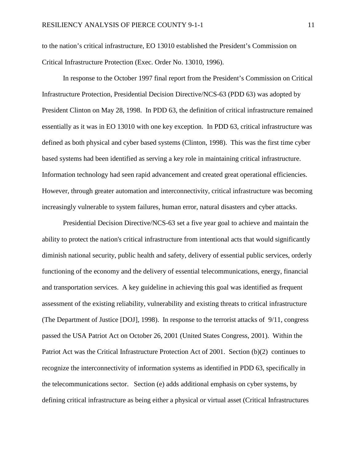to the nation's critical infrastructure, EO 13010 established the President's Commission on Critical Infrastructure Protection (Exec. Order No. 13010, 1996).

In response to the October 1997 final report from the President's Commission on Critical Infrastructure Protection, Presidential Decision Directive/NCS-63 (PDD 63) was adopted by President Clinton on May 28, 1998. In PDD 63, the definition of critical infrastructure remained essentially as it was in EO 13010 with one key exception. In PDD 63, critical infrastructure was defined as both physical and cyber based systems (Clinton, 1998). This was the first time cyber based systems had been identified as serving a key role in maintaining critical infrastructure. Information technology had seen rapid advancement and created great operational efficiencies. However, through greater automation and interconnectivity, critical infrastructure was becoming increasingly vulnerable to system failures, human error, natural disasters and cyber attacks.

Presidential Decision Directive/NCS-63 set a five year goal to achieve and maintain the ability to protect the nation's critical infrastructure from intentional acts that would significantly diminish national security, public health and safety, delivery of essential public services, orderly functioning of the economy and the delivery of essential telecommunications, energy, financial and transportation services. A key guideline in achieving this goal was identified as frequent assessment of the existing reliability, vulnerability and existing threats to critical infrastructure (The Department of Justice [DOJ], 1998). In response to the terrorist attacks of 9/11, congress passed the USA Patriot Act on October 26, 2001 (United States Congress, 2001). Within the Patriot Act was the Critical Infrastructure Protection Act of 2001. Section (b)(2) continues to recognize the interconnectivity of information systems as identified in PDD 63, specifically in the telecommunications sector. Section (e) adds additional emphasis on cyber systems, by defining critical infrastructure as being either a physical or virtual asset (Critical Infrastructures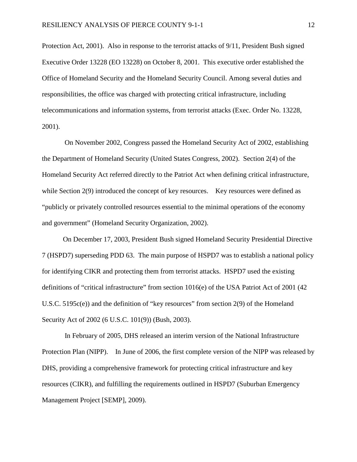Protection Act, 2001). Also in response to the terrorist attacks of 9/11, President Bush signed Executive Order 13228 (EO 13228) on October 8, 2001. This executive order established the Office of Homeland Security and the Homeland Security Council. Among several duties and responsibilities, the office was charged with protecting critical infrastructure, including telecommunications and information systems, from terrorist attacks (Exec. Order No. 13228, 2001).

On November 2002, Congress passed the Homeland Security Act of 2002, establishing the Department of Homeland Security (United States Congress, 2002). Section 2(4) of the Homeland Security Act referred directly to the Patriot Act when defining critical infrastructure, while Section 2(9) introduced the concept of key resources. Key resources were defined as "publicly or privately controlled resources essential to the minimal operations of the economy and government" (Homeland Security Organization, 2002).

On December 17, 2003, President Bush signed Homeland Security Presidential Directive 7 (HSPD7) superseding PDD 63. The main purpose of HSPD7 was to establish a national policy for identifying CIKR and protecting them from terrorist attacks. HSPD7 used the existing definitions of "critical infrastructure" from section 1016(e) of the USA Patriot Act of 2001 (42 U.S.C. 5195c(e)) and the definition of "key resources" from section 2(9) of the Homeland Security Act of 2002 (6 U.S.C. 101(9)) (Bush, 2003).

In February of 2005, DHS released an interim version of the National Infrastructure Protection Plan (NIPP). In June of 2006, the first complete version of the NIPP was released by DHS, providing a comprehensive framework for protecting critical infrastructure and key resources (CIKR), and fulfilling the requirements outlined in HSPD7 (Suburban Emergency Management Project [SEMP], 2009).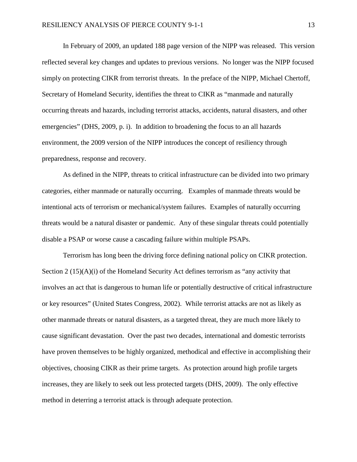In February of 2009, an updated 188 page version of the NIPP was released. This version reflected several key changes and updates to previous versions. No longer was the NIPP focused simply on protecting CIKR from terrorist threats. In the preface of the NIPP, Michael Chertoff, Secretary of Homeland Security, identifies the threat to CIKR as "manmade and naturally occurring threats and hazards, including terrorist attacks, accidents, natural disasters, and other emergencies" (DHS, 2009, p. i). In addition to broadening the focus to an all hazards environment, the 2009 version of the NIPP introduces the concept of resiliency through preparedness, response and recovery.

As defined in the NIPP, threats to critical infrastructure can be divided into two primary categories, either manmade or naturally occurring. Examples of manmade threats would be intentional acts of terrorism or mechanical/system failures. Examples of naturally occurring threats would be a natural disaster or pandemic. Any of these singular threats could potentially disable a PSAP or worse cause a cascading failure within multiple PSAPs.

Terrorism has long been the driving force defining national policy on CIKR protection. Section  $2(15)(A)(i)$  of the Homeland Security Act defines terrorism as "any activity that involves an act that is dangerous to human life or potentially destructive of critical infrastructure or key resources" (United States Congress, 2002). While terrorist attacks are not as likely as other manmade threats or natural disasters, as a targeted threat, they are much more likely to cause significant devastation. Over the past two decades, international and domestic terrorists have proven themselves to be highly organized, methodical and effective in accomplishing their objectives, choosing CIKR as their prime targets. As protection around high profile targets increases, they are likely to seek out less protected targets (DHS, 2009). The only effective method in deterring a terrorist attack is through adequate protection.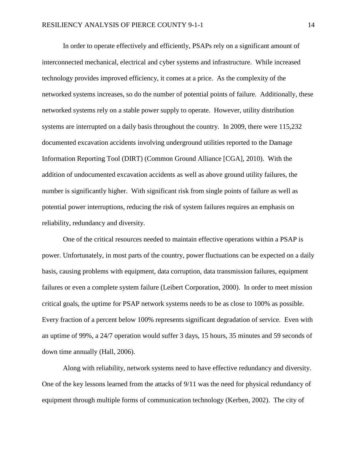In order to operate effectively and efficiently, PSAPs rely on a significant amount of interconnected mechanical, electrical and cyber systems and infrastructure. While increased technology provides improved efficiency, it comes at a price. As the complexity of the networked systems increases, so do the number of potential points of failure. Additionally, these networked systems rely on a stable power supply to operate. However, utility distribution systems are interrupted on a daily basis throughout the country. In 2009, there were 115,232 documented excavation accidents involving underground utilities reported to the Damage Information Reporting Tool (DIRT) (Common Ground Alliance [CGA], 2010). With the addition of undocumented excavation accidents as well as above ground utility failures, the number is significantly higher. With significant risk from single points of failure as well as potential power interruptions, reducing the risk of system failures requires an emphasis on reliability, redundancy and diversity.

One of the critical resources needed to maintain effective operations within a PSAP is power. Unfortunately, in most parts of the country, power fluctuations can be expected on a daily basis, causing problems with equipment, data corruption, data transmission failures, equipment failures or even a complete system failure (Leibert Corporation, 2000). In order to meet mission critical goals, the uptime for PSAP network systems needs to be as close to 100% as possible. Every fraction of a percent below 100% represents significant degradation of service. Even with an uptime of 99%, a 24/7 operation would suffer 3 days, 15 hours, 35 minutes and 59 seconds of down time annually (Hall, 2006).

Along with reliability, network systems need to have effective redundancy and diversity. One of the key lessons learned from the attacks of 9/11 was the need for physical redundancy of equipment through multiple forms of communication technology (Kerben, 2002). The city of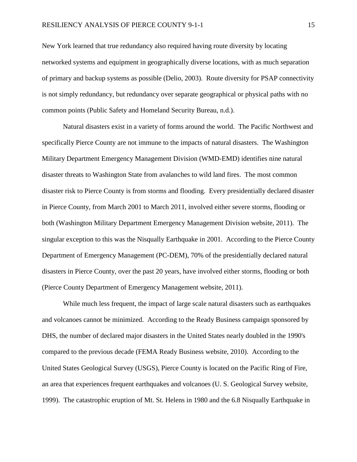New York learned that true redundancy also required having route diversity by locating networked systems and equipment in geographically diverse locations, with as much separation of primary and backup systems as possible (Delio, 2003). Route diversity for PSAP connectivity is not simply redundancy, but redundancy over separate geographical or physical paths with no common points (Public Safety and Homeland Security Bureau, n.d.).

Natural disasters exist in a variety of forms around the world. The Pacific Northwest and specifically Pierce County are not immune to the impacts of natural disasters. The Washington Military Department Emergency Management Division (WMD-EMD) identifies nine natural disaster threats to Washington State from avalanches to wild land fires. The most common disaster risk to Pierce County is from storms and flooding. Every presidentially declared disaster in Pierce County, from March 2001 to March 2011, involved either severe storms, flooding or both (Washington Military Department Emergency Management Division website, 2011). The singular exception to this was the Nisqually Earthquake in 2001. According to the Pierce County Department of Emergency Management (PC-DEM), 70% of the presidentially declared natural disasters in Pierce County, over the past 20 years, have involved either storms, flooding or both (Pierce County Department of Emergency Management website, 2011).

While much less frequent, the impact of large scale natural disasters such as earthquakes and volcanoes cannot be minimized. According to the Ready Business campaign sponsored by DHS, the number of declared major disasters in the United States nearly doubled in the 1990's compared to the previous decade (FEMA Ready Business website, 2010). According to the United States Geological Survey (USGS), Pierce County is located on the Pacific Ring of Fire, an area that experiences frequent earthquakes and volcanoes (U. S. Geological Survey website, 1999). The catastrophic eruption of Mt. St. Helens in 1980 and the 6.8 Nisqually Earthquake in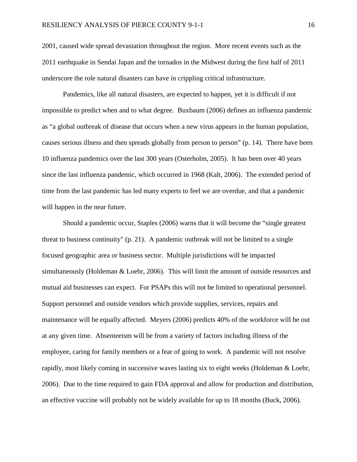2001, caused wide spread devastation throughout the region. More recent events such as the 2011 earthquake in Sendai Japan and the tornados in the Midwest during the first half of 2011 underscore the role natural disasters can have in crippling critical infrastructure.

Pandemics, like all natural disasters, are expected to happen, yet it is difficult if not impossible to predict when and to what degree. Buxbaum (2006) defines an influenza pandemic as "a global outbreak of disease that occurs when a new virus appears in the human population, causes serious illness and then spreads globally from person to person" (p. 14). There have been 10 influenza pandemics over the last 300 years (Osterholm, 2005). It has been over 40 years since the last influenza pandemic, which occurred in 1968 (Kalt, 2006). The extended period of time from the last pandemic has led many experts to feel we are overdue, and that a pandemic will happen in the near future.

Should a pandemic occur, Staples (2006) warns that it will become the "single greatest threat to business continuity" (p. 21). A pandemic outbreak will not be limited to a single focused geographic area or business sector. Multiple jurisdictions will be impacted simultaneously (Holdeman & Loehr, 2006). This will limit the amount of outside resources and mutual aid businesses can expect. For PSAPs this will not be limited to operational personnel. Support personnel and outside vendors which provide supplies, services, repairs and maintenance will be equally affected. Meyers (2006) predicts 40% of the workforce will be out at any given time. Absenteeism will be from a variety of factors including illness of the employee, caring for family members or a fear of going to work. A pandemic will not resolve rapidly, most likely coming in successive waves lasting six to eight weeks (Holdeman & Loehr, 2006). Due to the time required to gain FDA approval and allow for production and distribution, an effective vaccine will probably not be widely available for up to 18 months (Buck, 2006).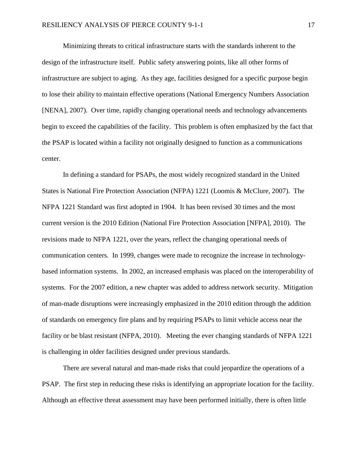Minimizing threats to critical infrastructure starts with the standards inherent to the design of the infrastructure itself. Public safety answering points, like all other forms of infrastructure are subject to aging. As they age, facilities designed for a specific purpose begin to lose their ability to maintain effective operations (National Emergency Numbers Association [NENA], 2007). Over time, rapidly changing operational needs and technology advancements begin to exceed the capabilities of the facility. This problem is often emphasized by the fact that the PSAP is located within a facility not originally designed to function as a communications center.

In defining a standard for PSAPs, the most widely recognized standard in the United States is National Fire Protection Association (NFPA) 1221 (Loomis & McClure, 2007). The NFPA 1221 Standard was first adopted in 1904. It has been revised 30 times and the most current version is the 2010 Edition (National Fire Protection Association [NFPA], 2010). The revisions made to NFPA 1221, over the years, reflect the changing operational needs of communication centers. In 1999, changes were made to recognize the increase in technologybased information systems. In 2002, an increased emphasis was placed on the interoperability of systems. For the 2007 edition, a new chapter was added to address network security. Mitigation of man-made disruptions were increasingly emphasized in the 2010 edition through the addition of standards on emergency fire plans and by requiring PSAPs to limit vehicle access near the facility or be blast resistant (NFPA, 2010). Meeting the ever changing standards of NFPA 1221 is challenging in older facilities designed under previous standards.

There are several natural and man-made risks that could jeopardize the operations of a PSAP. The first step in reducing these risks is identifying an appropriate location for the facility. Although an effective threat assessment may have been performed initially, there is often little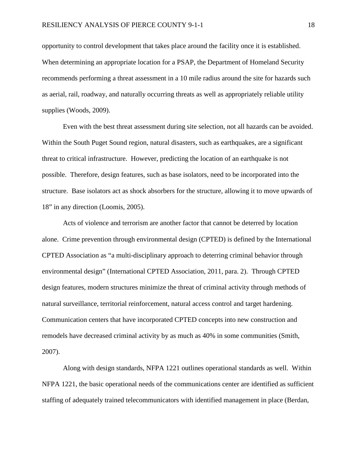opportunity to control development that takes place around the facility once it is established. When determining an appropriate location for a PSAP, the Department of Homeland Security recommends performing a threat assessment in a 10 mile radius around the site for hazards such as aerial, rail, roadway, and naturally occurring threats as well as appropriately reliable utility supplies (Woods, 2009).

Even with the best threat assessment during site selection, not all hazards can be avoided. Within the South Puget Sound region, natural disasters, such as earthquakes, are a significant threat to critical infrastructure. However, predicting the location of an earthquake is not possible. Therefore, design features, such as base isolators, need to be incorporated into the structure. Base isolators act as shock absorbers for the structure, allowing it to move upwards of 18" in any direction (Loomis, 2005).

Acts of violence and terrorism are another factor that cannot be deterred by location alone. Crime prevention through environmental design (CPTED) is defined by the International CPTED Association as "a multi-disciplinary approach to deterring criminal behavior through environmental design" (International CPTED Association, 2011, para. 2). Through CPTED design features, modern structures minimize the threat of criminal activity through methods of natural surveillance, territorial reinforcement, natural access control and target hardening. Communication centers that have incorporated CPTED concepts into new construction and remodels have decreased criminal activity by as much as 40% in some communities (Smith, 2007).

Along with design standards, NFPA 1221 outlines operational standards as well. Within NFPA 1221, the basic operational needs of the communications center are identified as sufficient staffing of adequately trained telecommunicators with identified management in place (Berdan,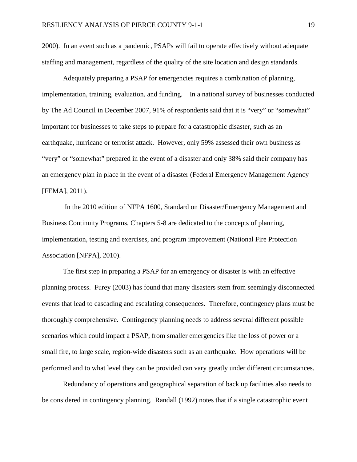2000). In an event such as a pandemic, PSAPs will fail to operate effectively without adequate staffing and management, regardless of the quality of the site location and design standards.

Adequately preparing a PSAP for emergencies requires a combination of planning, implementation, training, evaluation, and funding.In a national survey of businesses conducted by The Ad Council in December 2007, 91% of respondents said that it is "very" or "somewhat" important for businesses to take steps to prepare for a catastrophic disaster, such as an earthquake, hurricane or terrorist attack. However, only 59% assessed their own business as "very" or "somewhat" prepared in the event of a disaster and only 38% said their company has an emergency plan in place in the event of a disaster (Federal Emergency Management Agency [FEMA], 2011).

In the 2010 edition of NFPA 1600, Standard on Disaster/Emergency Management and Business Continuity Programs, Chapters 5-8 are dedicated to the concepts of planning, implementation, testing and exercises, and program improvement (National Fire Protection Association [NFPA], 2010).

The first step in preparing a PSAP for an emergency or disaster is with an effective planning process. Furey (2003) has found that many disasters stem from seemingly disconnected events that lead to cascading and escalating consequences. Therefore, contingency plans must be thoroughly comprehensive. Contingency planning needs to address several different possible scenarios which could impact a PSAP, from smaller emergencies like the loss of power or a small fire, to large scale, region-wide disasters such as an earthquake. How operations will be performed and to what level they can be provided can vary greatly under different circumstances.

Redundancy of operations and geographical separation of back up facilities also needs to be considered in contingency planning. Randall (1992) notes that if a single catastrophic event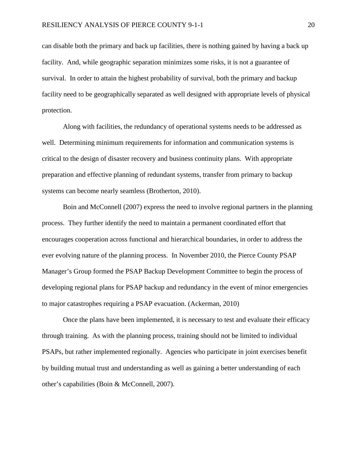can disable both the primary and back up facilities, there is nothing gained by having a back up facility. And, while geographic separation minimizes some risks, it is not a guarantee of survival. In order to attain the highest probability of survival, both the primary and backup facility need to be geographically separated as well designed with appropriate levels of physical protection.

Along with facilities, the redundancy of operational systems needs to be addressed as well. Determining minimum requirements for information and communication systems is critical to the design of disaster recovery and business continuity plans. With appropriate preparation and effective planning of redundant systems, transfer from primary to backup systems can become nearly seamless (Brotherton, 2010).

Boin and McConnell (2007) express the need to involve regional partners in the planning process. They further identify the need to maintain a permanent coordinated effort that encourages cooperation across functional and hierarchical boundaries, in order to address the ever evolving nature of the planning process. In November 2010, the Pierce County PSAP Manager's Group formed the PSAP Backup Development Committee to begin the process of developing regional plans for PSAP backup and redundancy in the event of minor emergencies to major catastrophes requiring a PSAP evacuation. (Ackerman, 2010)

Once the plans have been implemented, it is necessary to test and evaluate their efficacy through training. As with the planning process, training should not be limited to individual PSAPs, but rather implemented regionally. Agencies who participate in joint exercises benefit by building mutual trust and understanding as well as gaining a better understanding of each other's capabilities (Boin & McConnell, 2007).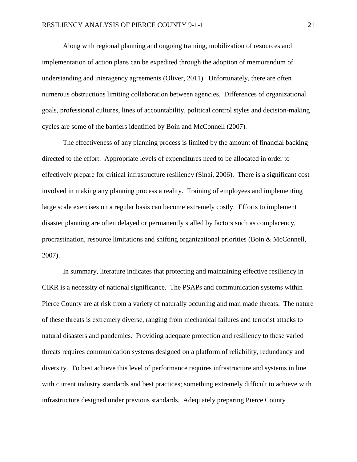Along with regional planning and ongoing training, mobilization of resources and implementation of action plans can be expedited through the adoption of memorandum of understanding and interagency agreements (Oliver, 2011). Unfortunately, there are often numerous obstructions limiting collaboration between agencies. Differences of organizational goals, professional cultures, lines of accountability, political control styles and decision-making cycles are some of the barriers identified by Boin and McConnell (2007).

The effectiveness of any planning process is limited by the amount of financial backing directed to the effort. Appropriate levels of expenditures need to be allocated in order to effectively prepare for critical infrastructure resiliency (Sinai, 2006). There is a significant cost involved in making any planning process a reality. Training of employees and implementing large scale exercises on a regular basis can become extremely costly. Efforts to implement disaster planning are often delayed or permanently stalled by factors such as complacency, procrastination, resource limitations and shifting organizational priorities (Boin & McConnell, 2007).

In summary, literature indicates that protecting and maintaining effective resiliency in CIKR is a necessity of national significance. The PSAPs and communication systems within Pierce County are at risk from a variety of naturally occurring and man made threats. The nature of these threats is extremely diverse, ranging from mechanical failures and terrorist attacks to natural disasters and pandemics. Providing adequate protection and resiliency to these varied threats requires communication systems designed on a platform of reliability, redundancy and diversity. To best achieve this level of performance requires infrastructure and systems in line with current industry standards and best practices; something extremely difficult to achieve with infrastructure designed under previous standards. Adequately preparing Pierce County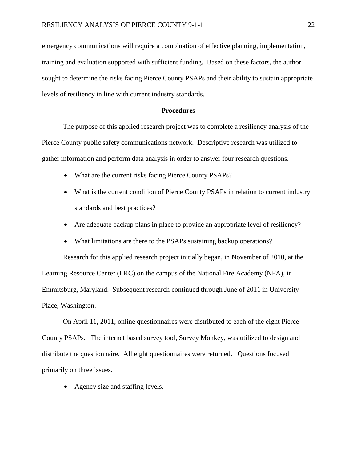emergency communications will require a combination of effective planning, implementation, training and evaluation supported with sufficient funding. Based on these factors, the author sought to determine the risks facing Pierce County PSAPs and their ability to sustain appropriate levels of resiliency in line with current industry standards.

#### **Procedures**

The purpose of this applied research project was to complete a resiliency analysis of the Pierce County public safety communications network. Descriptive research was utilized to gather information and perform data analysis in order to answer four research questions.

- What are the current risks facing Pierce County PSAPs?
- What is the current condition of Pierce County PSAPs in relation to current industry standards and best practices?
- Are adequate backup plans in place to provide an appropriate level of resiliency?
- What limitations are there to the PSAPs sustaining backup operations?

Research for this applied research project initially began, in November of 2010, at the Learning Resource Center (LRC) on the campus of the National Fire Academy (NFA), in Emmitsburg, Maryland. Subsequent research continued through June of 2011 in University Place, Washington.

On April 11, 2011, online questionnaires were distributed to each of the eight Pierce County PSAPs. The internet based survey tool, Survey Monkey, was utilized to design and distribute the questionnaire. All eight questionnaires were returned. Questions focused primarily on three issues.

• Agency size and staffing levels.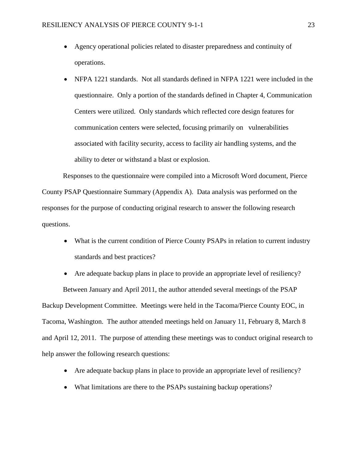- Agency operational policies related to disaster preparedness and continuity of operations.
- NFPA 1221 standards. Not all standards defined in NFPA 1221 were included in the questionnaire. Only a portion of the standards defined in Chapter 4, Communication Centers were utilized. Only standards which reflected core design features for communication centers were selected, focusing primarily on vulnerabilities associated with facility security, access to facility air handling systems, and the ability to deter or withstand a blast or explosion.

Responses to the questionnaire were compiled into a Microsoft Word document, Pierce County PSAP Questionnaire Summary (Appendix A). Data analysis was performed on the responses for the purpose of conducting original research to answer the following research questions.

• What is the current condition of Pierce County PSAPs in relation to current industry standards and best practices?

• Are adequate backup plans in place to provide an appropriate level of resiliency? Between January and April 2011, the author attended several meetings of the PSAP Backup Development Committee. Meetings were held in the Tacoma/Pierce County EOC, in Tacoma, Washington. The author attended meetings held on January 11, February 8, March 8 and April 12, 2011. The purpose of attending these meetings was to conduct original research to help answer the following research questions:

- Are adequate backup plans in place to provide an appropriate level of resiliency?
- What limitations are there to the PSAPs sustaining backup operations?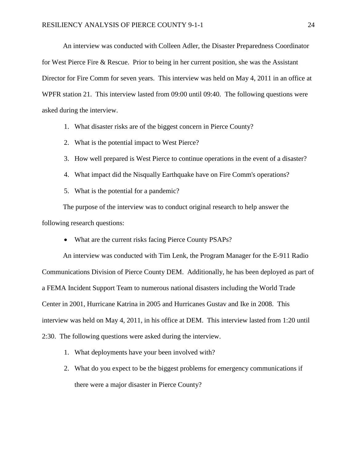An interview was conducted with Colleen Adler, the Disaster Preparedness Coordinator for West Pierce Fire & Rescue. Prior to being in her current position, she was the Assistant Director for Fire Comm for seven years. This interview was held on May 4, 2011 in an office at WPFR station 21. This interview lasted from 09:00 until 09:40. The following questions were asked during the interview.

1. What disaster risks are of the biggest concern in Pierce County?

- 2. What is the potential impact to West Pierce?
- 3. How well prepared is West Pierce to continue operations in the event of a disaster?
- 4. What impact did the Nisqually Earthquake have on Fire Comm's operations?
- 5. What is the potential for a pandemic?

The purpose of the interview was to conduct original research to help answer the following research questions:

• What are the current risks facing Pierce County PSAPs?

An interview was conducted with Tim Lenk, the Program Manager for the E-911 Radio Communications Division of Pierce County DEM. Additionally, he has been deployed as part of a FEMA Incident Support Team to numerous national disasters including the World Trade Center in 2001, Hurricane Katrina in 2005 and Hurricanes Gustav and Ike in 2008. This interview was held on May 4, 2011, in his office at DEM. This interview lasted from 1:20 until 2:30. The following questions were asked during the interview.

- 1. What deployments have your been involved with?
- 2. What do you expect to be the biggest problems for emergency communications if there were a major disaster in Pierce County?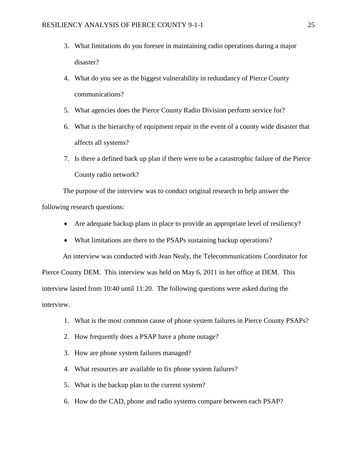- 3. What limitations do you foresee in maintaining radio operations during a major disaster?
- 4. What do you see as the biggest vulnerability in redundancy of Pierce County communications?
- 5. What agencies does the Pierce County Radio Division perform service for?
- 6. What is the hierarchy of equipment repair in the event of a county wide disaster that affects all systems?
- 7. Is there a defined back up plan if there were to be a catastrophic failure of the Pierce County radio network?

The purpose of the interview was to conduct original research to help answer the following research questions:

- Are adequate backup plans in place to provide an appropriate level of resiliency?
- What limitations are there to the PSAPs sustaining backup operations?

An interview was conducted with Jean Nealy, the Telecommunications Coordinator for Pierce County DEM. This interview was held on May 6, 2011 in her office at DEM. This interview lasted from 10:40 until 11:20. The following questions were asked during the interview.

- 1. What is the most common cause of phone system failures in Pierce County PSAPs?
- 2. How frequently does a PSAP have a phone outage?
- 3. How are phone system failures managed?
- 4. What resources are available to fix phone system failures?
- 5. What is the backup plan to the current system?
- 6. How do the CAD, phone and radio systems compare between each PSAP?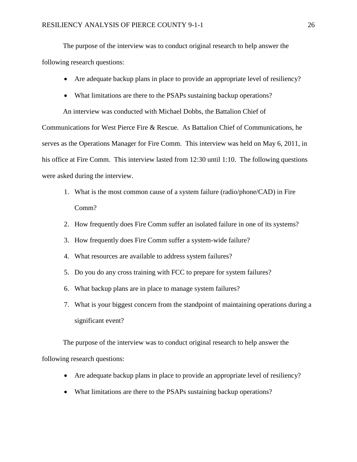The purpose of the interview was to conduct original research to help answer the following research questions:

- Are adequate backup plans in place to provide an appropriate level of resiliency?
- What limitations are there to the PSAPs sustaining backup operations?

An interview was conducted with Michael Dobbs, the Battalion Chief of

Communications for West Pierce Fire & Rescue. As Battalion Chief of Communications, he serves as the Operations Manager for Fire Comm. This interview was held on May 6, 2011, in his office at Fire Comm. This interview lasted from 12:30 until 1:10. The following questions were asked during the interview.

- 1. What is the most common cause of a system failure (radio/phone/CAD) in Fire Comm?
- 2. How frequently does Fire Comm suffer an isolated failure in one of its systems?
- 3. How frequently does Fire Comm suffer a system-wide failure?
- 4. What resources are available to address system failures?
- 5. Do you do any cross training with FCC to prepare for system failures?
- 6. What backup plans are in place to manage system failures?
- 7. What is your biggest concern from the standpoint of maintaining operations during a significant event?

The purpose of the interview was to conduct original research to help answer the following research questions:

- Are adequate backup plans in place to provide an appropriate level of resiliency?
- What limitations are there to the PSAPs sustaining backup operations?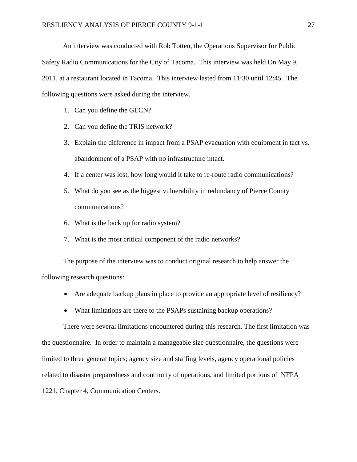An interview was conducted with Rob Totten, the Operations Supervisor for Public Safety Radio Communications for the City of Tacoma. This interview was held On May 9, 2011, at a restaurant located in Tacoma. This interview lasted from 11:30 until 12:45. The following questions were asked during the interview.

- 1. Can you define the GECN?
- 2. Can you define the TRIS network?
- 3. Explain the difference in impact from a PSAP evacuation with equipment in tact vs. abandonment of a PSAP with no infrastructure intact.
- 4. If a center was lost, how long would it take to re-route radio communications?
- 5. What do you see as the biggest vulnerability in redundancy of Pierce County communications?
- 6. What is the back up for radio system?
- 7. What is the most critical component of the radio networks?

The purpose of the interview was to conduct original research to help answer the following research questions:

- Are adequate backup plans in place to provide an appropriate level of resiliency?
- What limitations are there to the PSAPs sustaining backup operations?

There were several limitations encountered during this research. The first limitation was the questionnaire. In order to maintain a manageable size questionnaire, the questions were limited to three general topics; agency size and staffing levels, agency operational policies related to disaster preparedness and continuity of operations, and limited portions of NFPA 1221, Chapter 4, Communication Centers.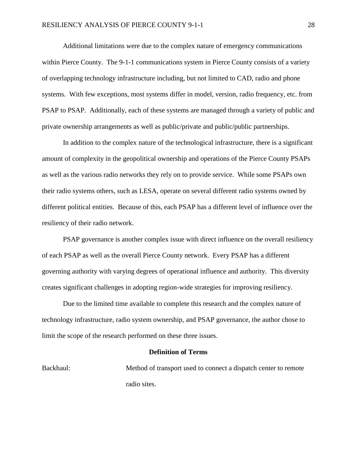Additional limitations were due to the complex nature of emergency communications within Pierce County. The 9-1-1 communications system in Pierce County consists of a variety of overlapping technology infrastructure including, but not limited to CAD, radio and phone systems. With few exceptions, most systems differ in model, version, radio frequency, etc. from PSAP to PSAP. Additionally, each of these systems are managed through a variety of public and private ownership arrangements as well as public/private and public/public partnerships.

In addition to the complex nature of the technological infrastructure, there is a significant amount of complexity in the geopolitical ownership and operations of the Pierce County PSAPs as well as the various radio networks they rely on to provide service. While some PSAPs own their radio systems others, such as LESA, operate on several different radio systems owned by different political entities. Because of this, each PSAP has a different level of influence over the resiliency of their radio network.

PSAP governance is another complex issue with direct influence on the overall resiliency of each PSAP as well as the overall Pierce County network. Every PSAP has a different governing authority with varying degrees of operational influence and authority. This diversity creates significant challenges in adopting region-wide strategies for improving resiliency.

Due to the limited time available to complete this research and the complex nature of technology infrastructure, radio system ownership, and PSAP governance, the author chose to limit the scope of the research performed on these three issues.

#### **Definition of Terms**

Backhaul: Method of transport used to connect a dispatch center to remote radio sites.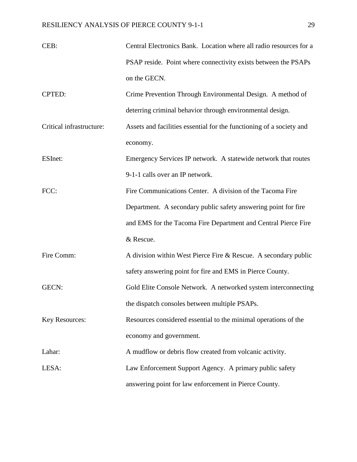| CEB:                     | Central Electronics Bank. Location where all radio resources for a   |
|--------------------------|----------------------------------------------------------------------|
|                          | PSAP reside. Point where connectivity exists between the PSAPs       |
|                          | on the GECN.                                                         |
| <b>CPTED:</b>            | Crime Prevention Through Environmental Design. A method of           |
|                          | deterring criminal behavior through environmental design.            |
| Critical infrastructure: | Assets and facilities essential for the functioning of a society and |
|                          | economy.                                                             |
| ESInet:                  | Emergency Services IP network. A statewide network that routes       |
|                          | 9-1-1 calls over an IP network.                                      |
| FCC:                     | Fire Communications Center. A division of the Tacoma Fire            |
|                          | Department. A secondary public safety answering point for fire       |
|                          | and EMS for the Tacoma Fire Department and Central Pierce Fire       |
|                          | & Rescue.                                                            |
| Fire Comm:               | A division within West Pierce Fire $&$ Rescue. A secondary public    |
|                          | safety answering point for fire and EMS in Pierce County.            |
| GECN:                    | Gold Elite Console Network. A networked system interconnecting       |
|                          | the dispatch consoles between multiple PSAPs.                        |
| <b>Key Resources:</b>    | Resources considered essential to the minimal operations of the      |
|                          | economy and government.                                              |
| Lahar:                   | A mudflow or debris flow created from volcanic activity.             |
| LESA:                    | Law Enforcement Support Agency. A primary public safety              |
|                          | answering point for law enforcement in Pierce County.                |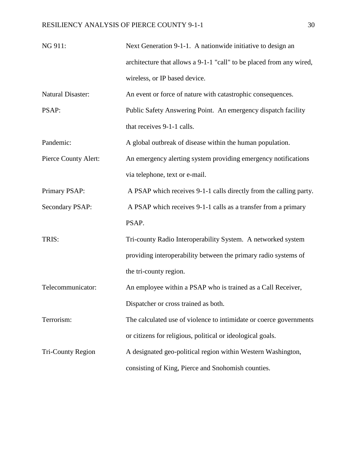| NG 911:                  | Next Generation 9-1-1. A nationwide initiative to design an          |
|--------------------------|----------------------------------------------------------------------|
|                          | architecture that allows a 9-1-1 "call" to be placed from any wired, |
|                          | wireless, or IP based device.                                        |
| <b>Natural Disaster:</b> | An event or force of nature with catastrophic consequences.          |
| PSAP:                    | Public Safety Answering Point. An emergency dispatch facility        |
|                          | that receives 9-1-1 calls.                                           |
| Pandemic:                | A global outbreak of disease within the human population.            |
| Pierce County Alert:     | An emergency alerting system providing emergency notifications       |
|                          | via telephone, text or e-mail.                                       |
| Primary PSAP:            | A PSAP which receives 9-1-1 calls directly from the calling party.   |
| Secondary PSAP:          | A PSAP which receives 9-1-1 calls as a transfer from a primary       |
|                          | PSAP.                                                                |
| TRIS:                    | Tri-county Radio Interoperability System. A networked system         |
|                          | providing interoperability between the primary radio systems of      |
|                          | the tri-county region.                                               |
| Telecommunicator:        | An employee within a PSAP who is trained as a Call Receiver,         |
|                          | Dispatcher or cross trained as both.                                 |
| Terrorism:               | The calculated use of violence to intimidate or coerce governments   |
|                          | or citizens for religious, political or ideological goals.           |
| <b>Tri-County Region</b> | A designated geo-political region within Western Washington,         |
|                          | consisting of King, Pierce and Snohomish counties.                   |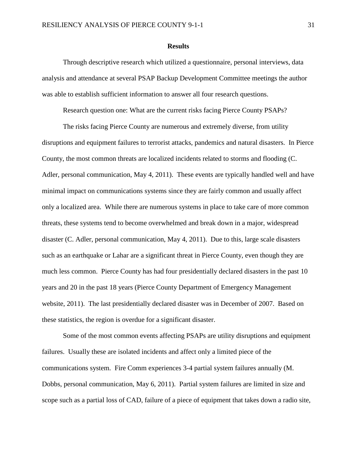#### **Results**

Through descriptive research which utilized a questionnaire, personal interviews, data analysis and attendance at several PSAP Backup Development Committee meetings the author was able to establish sufficient information to answer all four research questions.

Research question one: What are the current risks facing Pierce County PSAPs?

The risks facing Pierce County are numerous and extremely diverse, from utility disruptions and equipment failures to terrorist attacks, pandemics and natural disasters. In Pierce County, the most common threats are localized incidents related to storms and flooding (C. Adler, personal communication, May 4, 2011). These events are typically handled well and have minimal impact on communications systems since they are fairly common and usually affect only a localized area. While there are numerous systems in place to take care of more common threats, these systems tend to become overwhelmed and break down in a major, widespread disaster (C. Adler, personal communication, May 4, 2011). Due to this, large scale disasters such as an earthquake or Lahar are a significant threat in Pierce County, even though they are much less common. Pierce County has had four presidentially declared disasters in the past 10 years and 20 in the past 18 years (Pierce County Department of Emergency Management website, 2011). The last presidentially declared disaster was in December of 2007. Based on these statistics, the region is overdue for a significant disaster.

Some of the most common events affecting PSAPs are utility disruptions and equipment failures. Usually these are isolated incidents and affect only a limited piece of the communications system. Fire Comm experiences 3-4 partial system failures annually (M. Dobbs, personal communication, May 6, 2011). Partial system failures are limited in size and scope such as a partial loss of CAD, failure of a piece of equipment that takes down a radio site,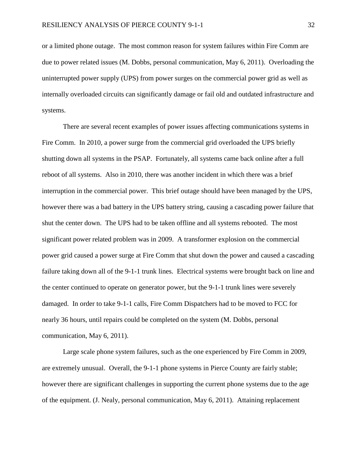or a limited phone outage. The most common reason for system failures within Fire Comm are due to power related issues (M. Dobbs, personal communication, May 6, 2011). Overloading the uninterrupted power supply (UPS) from power surges on the commercial power grid as well as internally overloaded circuits can significantly damage or fail old and outdated infrastructure and systems.

There are several recent examples of power issues affecting communications systems in Fire Comm. In 2010, a power surge from the commercial grid overloaded the UPS briefly shutting down all systems in the PSAP. Fortunately, all systems came back online after a full reboot of all systems. Also in 2010, there was another incident in which there was a brief interruption in the commercial power. This brief outage should have been managed by the UPS, however there was a bad battery in the UPS battery string, causing a cascading power failure that shut the center down. The UPS had to be taken offline and all systems rebooted. The most significant power related problem was in 2009. A transformer explosion on the commercial power grid caused a power surge at Fire Comm that shut down the power and caused a cascading failure taking down all of the 9-1-1 trunk lines. Electrical systems were brought back on line and the center continued to operate on generator power, but the 9-1-1 trunk lines were severely damaged. In order to take 9-1-1 calls, Fire Comm Dispatchers had to be moved to FCC for nearly 36 hours, until repairs could be completed on the system (M. Dobbs, personal communication, May 6, 2011).

Large scale phone system failures, such as the one experienced by Fire Comm in 2009, are extremely unusual. Overall, the 9-1-1 phone systems in Pierce County are fairly stable; however there are significant challenges in supporting the current phone systems due to the age of the equipment. (J. Nealy, personal communication, May 6, 2011). Attaining replacement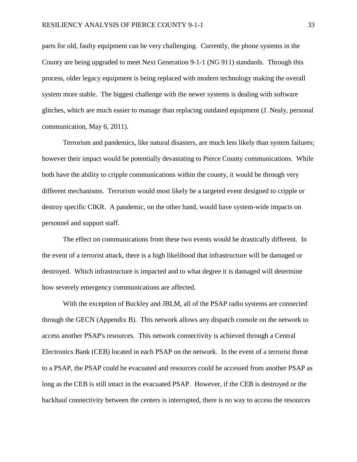parts for old, faulty equipment can be very challenging. Currently, the phone systems in the County are being upgraded to meet Next Generation 9-1-1 (NG 911) standards. Through this process, older legacy equipment is being replaced with modern technology making the overall system more stable. The biggest challenge with the newer systems is dealing with software glitches, which are much easier to manage than replacing outdated equipment (J. Nealy, personal communication, May 6, 2011).

Terrorism and pandemics, like natural disasters, are much less likely than system failures; however their impact would be potentially devastating to Pierce County communications. While both have the ability to cripple communications within the county, it would be through very different mechanisms. Terrorism would most likely be a targeted event designed to cripple or destroy specific CIKR. A pandemic, on the other hand, would have system-wide impacts on personnel and support staff.

The effect on communications from these two events would be drastically different. In the event of a terrorist attack, there is a high likelihood that infrastructure will be damaged or destroyed. Which infrastructure is impacted and to what degree it is damaged will determine how severely emergency communications are affected.

With the exception of Buckley and JBLM, all of the PSAP radio systems are connected through the GECN (Appendix B). This network allows any dispatch console on the network to access another PSAP's resources. This network connectivity is achieved through a Central Electronics Bank (CEB) located in each PSAP on the network. In the event of a terrorist threat to a PSAP, the PSAP could be evacuated and resources could be accessed from another PSAP as long as the CEB is still intact in the evacuated PSAP. However, if the CEB is destroyed or the backhaul connectivity between the centers is interrupted, there is no way to access the resources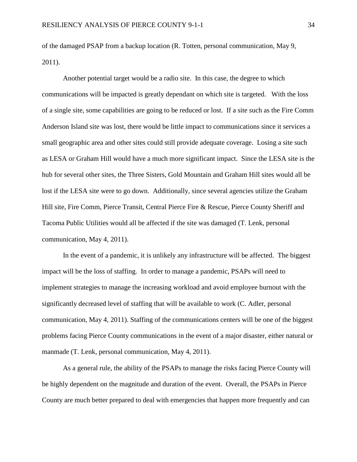of the damaged PSAP from a backup location (R. Totten, personal communication, May 9, 2011).

Another potential target would be a radio site. In this case, the degree to which communications will be impacted is greatly dependant on which site is targeted. With the loss of a single site, some capabilities are going to be reduced or lost. If a site such as the Fire Comm Anderson Island site was lost, there would be little impact to communications since it services a small geographic area and other sites could still provide adequate coverage. Losing a site such as LESA or Graham Hill would have a much more significant impact. Since the LESA site is the hub for several other sites, the Three Sisters, Gold Mountain and Graham Hill sites would all be lost if the LESA site were to go down. Additionally, since several agencies utilize the Graham Hill site, Fire Comm, Pierce Transit, Central Pierce Fire & Rescue, Pierce County Sheriff and Tacoma Public Utilities would all be affected if the site was damaged (T. Lenk, personal communication, May 4, 2011).

In the event of a pandemic, it is unlikely any infrastructure will be affected. The biggest impact will be the loss of staffing. In order to manage a pandemic, PSAPs will need to implement strategies to manage the increasing workload and avoid employee burnout with the significantly decreased level of staffing that will be available to work (C. Adler, personal communication, May 4, 2011). Staffing of the communications centers will be one of the biggest problems facing Pierce County communications in the event of a major disaster, either natural or manmade (T. Lenk, personal communication, May 4, 2011).

As a general rule, the ability of the PSAPs to manage the risks facing Pierce County will be highly dependent on the magnitude and duration of the event. Overall, the PSAPs in Pierce County are much better prepared to deal with emergencies that happen more frequently and can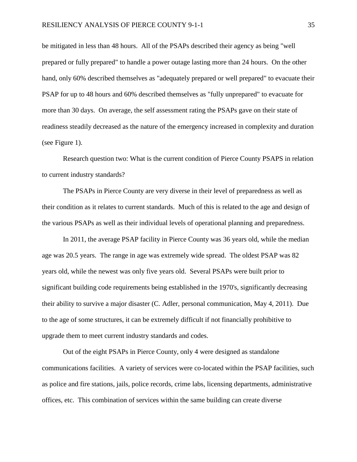be mitigated in less than 48 hours. All of the PSAPs described their agency as being "well prepared or fully prepared" to handle a power outage lasting more than 24 hours. On the other hand, only 60% described themselves as "adequately prepared or well prepared" to evacuate their PSAP for up to 48 hours and 60% described themselves as "fully unprepared" to evacuate for more than 30 days. On average, the self assessment rating the PSAPs gave on their state of readiness steadily decreased as the nature of the emergency increased in complexity and duration (see Figure 1).

Research question two: What is the current condition of Pierce County PSAPS in relation to current industry standards?

The PSAPs in Pierce County are very diverse in their level of preparedness as well as their condition as it relates to current standards. Much of this is related to the age and design of the various PSAPs as well as their individual levels of operational planning and preparedness.

In 2011, the average PSAP facility in Pierce County was 36 years old, while the median age was 20.5 years. The range in age was extremely wide spread. The oldest PSAP was 82 years old, while the newest was only five years old. Several PSAPs were built prior to significant building code requirements being established in the 1970's, significantly decreasing their ability to survive a major disaster (C. Adler, personal communication, May 4, 2011). Due to the age of some structures, it can be extremely difficult if not financially prohibitive to upgrade them to meet current industry standards and codes.

Out of the eight PSAPs in Pierce County, only 4 were designed as standalone communications facilities. A variety of services were co-located within the PSAP facilities, such as police and fire stations, jails, police records, crime labs, licensing departments, administrative offices, etc. This combination of services within the same building can create diverse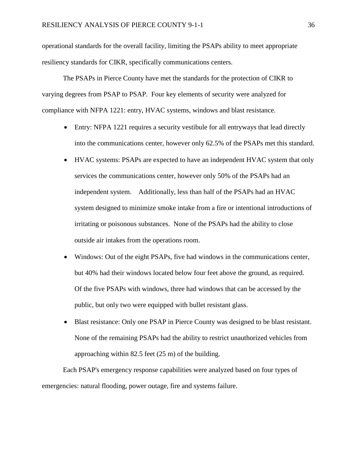operational standards for the overall facility, limiting the PSAPs ability to meet appropriate resiliency standards for CIKR, specifically communications centers.

The PSAPs in Pierce County have met the standards for the protection of CIKR to varying degrees from PSAP to PSAP. Four key elements of security were analyzed for compliance with NFPA 1221: entry, HVAC systems, windows and blast resistance.

- Entry: NFPA 1221 requires a security vestibule for all entryways that lead directly into the communications center, however only 62.5% of the PSAPs met this standard.
- HVAC systems: PSAPs are expected to have an independent HVAC system that only services the communications center, however only 50% of the PSAPs had an independent system. Additionally, less than half of the PSAPs had an HVAC system designed to minimize smoke intake from a fire or intentional introductions of irritating or poisonous substances. None of the PSAPs had the ability to close outside air intakes from the operations room.
- Windows: Out of the eight PSAPs, five had windows in the communications center, but 40% had their windows located below four feet above the ground, as required. Of the five PSAPs with windows, three had windows that can be accessed by the public, but only two were equipped with bullet resistant glass.
- Blast resistance: Only one PSAP in Pierce County was designed to be blast resistant. None of the remaining PSAPs had the ability to restrict unauthorized vehicles from approaching within 82.5 feet (25 m) of the building.

Each PSAP's emergency response capabilities were analyzed based on four types of emergencies: natural flooding, power outage, fire and systems failure.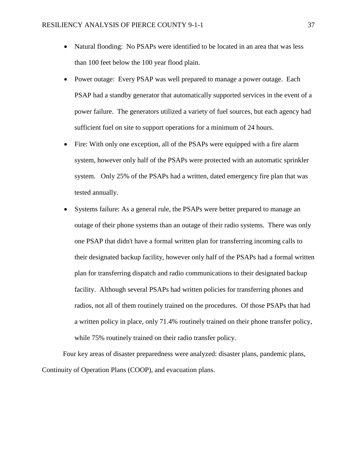- Natural flooding: No PSAPs were identified to be located in an area that was less than 100 feet below the 100 year flood plain.
- Power outage: Every PSAP was well prepared to manage a power outage. Each PSAP had a standby generator that automatically supported services in the event of a power failure. The generators utilized a variety of fuel sources, but each agency had sufficient fuel on site to support operations for a minimum of 24 hours.
- Fire: With only one exception, all of the PSAPs were equipped with a fire alarm system, however only half of the PSAPs were protected with an automatic sprinkler system. Only 25% of the PSAPs had a written, dated emergency fire plan that was tested annually.
- Systems failure: As a general rule, the PSAPs were better prepared to manage an outage of their phone systems than an outage of their radio systems. There was only one PSAP that didn't have a formal written plan for transferring incoming calls to their designated backup facility, however only half of the PSAPs had a formal written plan for transferring dispatch and radio communications to their designated backup facility. Although several PSAPs had written policies for transferring phones and radios, not all of them routinely trained on the procedures. Of those PSAPs that had a written policy in place, only 71.4% routinely trained on their phone transfer policy, while 75% routinely trained on their radio transfer policy.

Four key areas of disaster preparedness were analyzed: disaster plans, pandemic plans, Continuity of Operation Plans (COOP), and evacuation plans.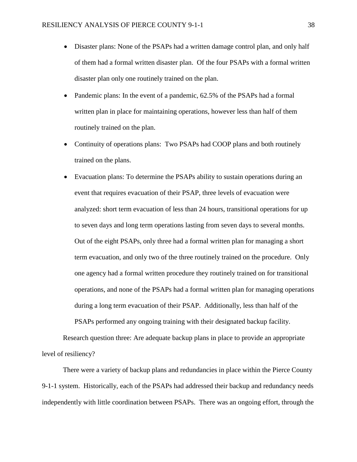- Disaster plans: None of the PSAPs had a written damage control plan, and only half of them had a formal written disaster plan. Of the four PSAPs with a formal written disaster plan only one routinely trained on the plan.
- Pandemic plans: In the event of a pandemic, 62.5% of the PSAPs had a formal written plan in place for maintaining operations, however less than half of them routinely trained on the plan.
- Continuity of operations plans: Two PSAPs had COOP plans and both routinely trained on the plans.
- Evacuation plans: To determine the PSAPs ability to sustain operations during an event that requires evacuation of their PSAP, three levels of evacuation were analyzed: short term evacuation of less than 24 hours, transitional operations for up to seven days and long term operations lasting from seven days to several months. Out of the eight PSAPs, only three had a formal written plan for managing a short term evacuation, and only two of the three routinely trained on the procedure. Only one agency had a formal written procedure they routinely trained on for transitional operations, and none of the PSAPs had a formal written plan for managing operations during a long term evacuation of their PSAP. Additionally, less than half of the PSAPs performed any ongoing training with their designated backup facility.

Research question three: Are adequate backup plans in place to provide an appropriate level of resiliency?

There were a variety of backup plans and redundancies in place within the Pierce County 9-1-1 system. Historically, each of the PSAPs had addressed their backup and redundancy needs independently with little coordination between PSAPs. There was an ongoing effort, through the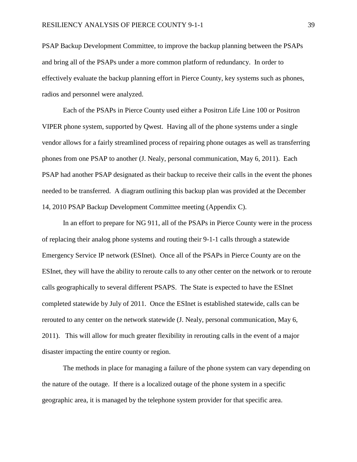PSAP Backup Development Committee, to improve the backup planning between the PSAPs and bring all of the PSAPs under a more common platform of redundancy. In order to effectively evaluate the backup planning effort in Pierce County, key systems such as phones, radios and personnel were analyzed.

Each of the PSAPs in Pierce County used either a Positron Life Line 100 or Positron VIPER phone system, supported by Qwest. Having all of the phone systems under a single vendor allows for a fairly streamlined process of repairing phone outages as well as transferring phones from one PSAP to another (J. Nealy, personal communication, May 6, 2011). Each PSAP had another PSAP designated as their backup to receive their calls in the event the phones needed to be transferred. A diagram outlining this backup plan was provided at the December 14, 2010 PSAP Backup Development Committee meeting (Appendix C).

In an effort to prepare for NG 911, all of the PSAPs in Pierce County were in the process of replacing their analog phone systems and routing their 9-1-1 calls through a statewide Emergency Service IP network (ESInet). Once all of the PSAPs in Pierce County are on the ESInet, they will have the ability to reroute calls to any other center on the network or to reroute calls geographically to several different PSAPS. The State is expected to have the ESInet completed statewide by July of 2011. Once the ESInet is established statewide, calls can be rerouted to any center on the network statewide (J. Nealy, personal communication, May 6, 2011). This will allow for much greater flexibility in rerouting calls in the event of a major disaster impacting the entire county or region.

The methods in place for managing a failure of the phone system can vary depending on the nature of the outage. If there is a localized outage of the phone system in a specific geographic area, it is managed by the telephone system provider for that specific area.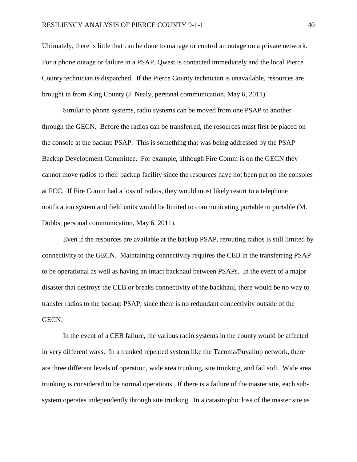Ultimately, there is little that can be done to manage or control an outage on a private network. For a phone outage or failure in a PSAP, Qwest is contacted immediately and the local Pierce County technician is dispatched. If the Pierce County technician is unavailable, resources are brought in from King County (J. Nealy, personal communication, May 6, 2011).

Similar to phone systems, radio systems can be moved from one PSAP to another through the GECN. Before the radios can be transferred, the resources must first be placed on the console at the backup PSAP. This is something that was being addressed by the PSAP Backup Development Committee. For example, although Fire Comm is on the GECN they cannot move radios to their backup facility since the resources have not been put on the consoles at FCC. If Fire Comm had a loss of radios, they would most likely resort to a telephone notification system and field units would be limited to communicating portable to portable (M. Dobbs, personal communication, May 6, 2011).

Even if the resources are available at the backup PSAP, rerouting radios is still limited by connectivity to the GECN. Maintaining connectivity requires the CEB in the transferring PSAP to be operational as well as having an intact backhaul between PSAPs. In the event of a major disaster that destroys the CEB or breaks connectivity of the backhaul, there would be no way to transfer radios to the backup PSAP, since there is no redundant connectivity outside of the GECN.

In the event of a CEB failure, the various radio systems in the county would be affected in very different ways. In a trunked repeated system like the Tacoma/Puyallup network, there are three different levels of operation, wide area trunking, site trunking, and fail soft. Wide area trunking is considered to be normal operations. If there is a failure of the master site, each subsystem operates independently through site trunking. In a catastrophic loss of the master site as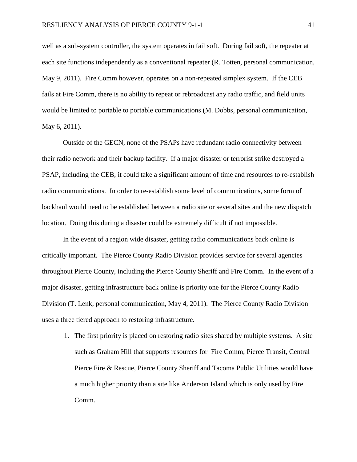well as a sub-system controller, the system operates in fail soft. During fail soft, the repeater at each site functions independently as a conventional repeater (R. Totten, personal communication, May 9, 2011). Fire Comm however, operates on a non-repeated simplex system. If the CEB fails at Fire Comm, there is no ability to repeat or rebroadcast any radio traffic, and field units would be limited to portable to portable communications (M. Dobbs, personal communication, May 6, 2011).

Outside of the GECN, none of the PSAPs have redundant radio connectivity between their radio network and their backup facility. If a major disaster or terrorist strike destroyed a PSAP, including the CEB, it could take a significant amount of time and resources to re-establish radio communications. In order to re-establish some level of communications, some form of backhaul would need to be established between a radio site or several sites and the new dispatch location. Doing this during a disaster could be extremely difficult if not impossible.

In the event of a region wide disaster, getting radio communications back online is critically important. The Pierce County Radio Division provides service for several agencies throughout Pierce County, including the Pierce County Sheriff and Fire Comm. In the event of a major disaster, getting infrastructure back online is priority one for the Pierce County Radio Division (T. Lenk, personal communication, May 4, 2011). The Pierce County Radio Division uses a three tiered approach to restoring infrastructure.

1. The first priority is placed on restoring radio sites shared by multiple systems. A site such as Graham Hill that supports resources for Fire Comm, Pierce Transit, Central Pierce Fire & Rescue, Pierce County Sheriff and Tacoma Public Utilities would have a much higher priority than a site like Anderson Island which is only used by Fire Comm.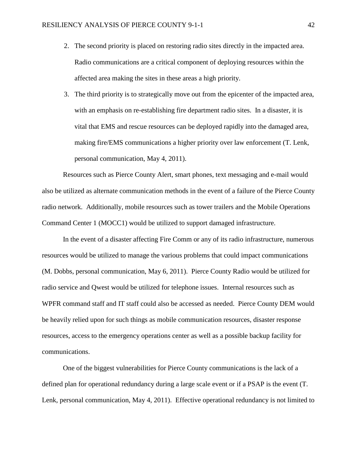- 2. The second priority is placed on restoring radio sites directly in the impacted area. Radio communications are a critical component of deploying resources within the affected area making the sites in these areas a high priority.
- 3. The third priority is to strategically move out from the epicenter of the impacted area, with an emphasis on re-establishing fire department radio sites. In a disaster, it is vital that EMS and rescue resources can be deployed rapidly into the damaged area, making fire/EMS communications a higher priority over law enforcement (T. Lenk, personal communication, May 4, 2011).

Resources such as Pierce County Alert, smart phones, text messaging and e-mail would also be utilized as alternate communication methods in the event of a failure of the Pierce County radio network. Additionally, mobile resources such as tower trailers and the Mobile Operations Command Center 1 (MOCC1) would be utilized to support damaged infrastructure.

In the event of a disaster affecting Fire Comm or any of its radio infrastructure, numerous resources would be utilized to manage the various problems that could impact communications (M. Dobbs, personal communication, May 6, 2011). Pierce County Radio would be utilized for radio service and Qwest would be utilized for telephone issues. Internal resources such as WPFR command staff and IT staff could also be accessed as needed. Pierce County DEM would be heavily relied upon for such things as mobile communication resources, disaster response resources, access to the emergency operations center as well as a possible backup facility for communications.

One of the biggest vulnerabilities for Pierce County communications is the lack of a defined plan for operational redundancy during a large scale event or if a PSAP is the event (T. Lenk, personal communication, May 4, 2011). Effective operational redundancy is not limited to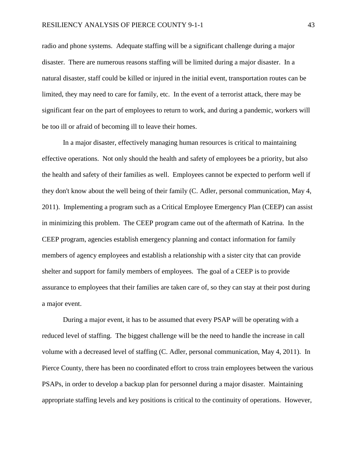radio and phone systems. Adequate staffing will be a significant challenge during a major disaster. There are numerous reasons staffing will be limited during a major disaster. In a natural disaster, staff could be killed or injured in the initial event, transportation routes can be limited, they may need to care for family, etc. In the event of a terrorist attack, there may be significant fear on the part of employees to return to work, and during a pandemic, workers will be too ill or afraid of becoming ill to leave their homes.

In a major disaster, effectively managing human resources is critical to maintaining effective operations. Not only should the health and safety of employees be a priority, but also the health and safety of their families as well. Employees cannot be expected to perform well if they don't know about the well being of their family (C. Adler, personal communication, May 4, 2011). Implementing a program such as a Critical Employee Emergency Plan (CEEP) can assist in minimizing this problem. The CEEP program came out of the aftermath of Katrina. In the CEEP program, agencies establish emergency planning and contact information for family members of agency employees and establish a relationship with a sister city that can provide shelter and support for family members of employees. The goal of a CEEP is to provide assurance to employees that their families are taken care of, so they can stay at their post during a major event.

During a major event, it has to be assumed that every PSAP will be operating with a reduced level of staffing. The biggest challenge will be the need to handle the increase in call volume with a decreased level of staffing (C. Adler, personal communication, May 4, 2011). In Pierce County, there has been no coordinated effort to cross train employees between the various PSAPs, in order to develop a backup plan for personnel during a major disaster. Maintaining appropriate staffing levels and key positions is critical to the continuity of operations. However,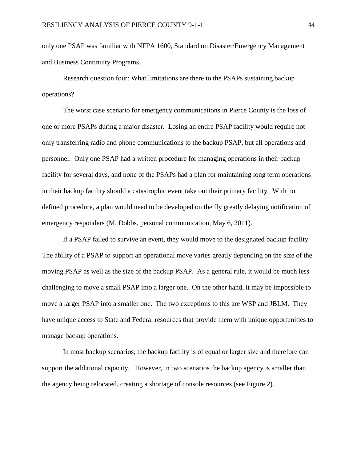only one PSAP was familiar with NFPA 1600, Standard on Disaster/Emergency Management and Business Continuity Programs.

Research question four: What limitations are there to the PSAPs sustaining backup operations?

The worst case scenario for emergency communications in Pierce County is the loss of one or more PSAPs during a major disaster. Losing an entire PSAP facility would require not only transferring radio and phone communications to the backup PSAP, but all operations and personnel. Only one PSAP had a written procedure for managing operations in their backup facility for several days, and none of the PSAPs had a plan for maintaining long term operations in their backup facility should a catastrophic event take out their primary facility. With no defined procedure, a plan would need to be developed on the fly greatly delaying notification of emergency responders (M. Dobbs, personal communication, May 6, 2011).

If a PSAP failed to survive an event, they would move to the designated backup facility. The ability of a PSAP to support an operational move varies greatly depending on the size of the moving PSAP as well as the size of the backup PSAP. As a general rule, it would be much less challenging to move a small PSAP into a larger one. On the other hand, it may be impossible to move a larger PSAP into a smaller one. The two exceptions to this are WSP and JBLM. They have unique access to State and Federal resources that provide them with unique opportunities to manage backup operations.

In most backup scenarios, the backup facility is of equal or larger size and therefore can support the additional capacity. However, in two scenarios the backup agency is smaller than the agency being relocated, creating a shortage of console resources (see Figure 2).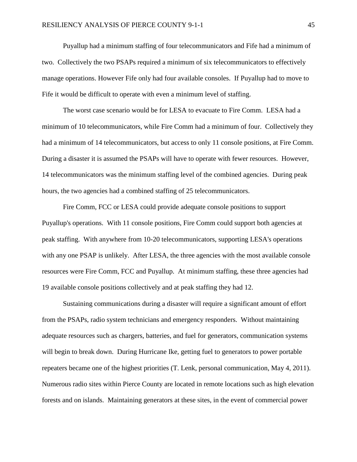Puyallup had a minimum staffing of four telecommunicators and Fife had a minimum of two. Collectively the two PSAPs required a minimum of six telecommunicators to effectively manage operations. However Fife only had four available consoles. If Puyallup had to move to Fife it would be difficult to operate with even a minimum level of staffing.

The worst case scenario would be for LESA to evacuate to Fire Comm. LESA had a minimum of 10 telecommunicators, while Fire Comm had a minimum of four. Collectively they had a minimum of 14 telecommunicators, but access to only 11 console positions, at Fire Comm. During a disaster it is assumed the PSAPs will have to operate with fewer resources. However, 14 telecommunicators was the minimum staffing level of the combined agencies. During peak hours, the two agencies had a combined staffing of 25 telecommunicators.

Fire Comm, FCC or LESA could provide adequate console positions to support Puyallup's operations. With 11 console positions, Fire Comm could support both agencies at peak staffing. With anywhere from 10-20 telecommunicators, supporting LESA's operations with any one PSAP is unlikely. After LESA, the three agencies with the most available console resources were Fire Comm, FCC and Puyallup. At minimum staffing, these three agencies had 19 available console positions collectively and at peak staffing they had 12.

Sustaining communications during a disaster will require a significant amount of effort from the PSAPs, radio system technicians and emergency responders. Without maintaining adequate resources such as chargers, batteries, and fuel for generators, communication systems will begin to break down. During Hurricane Ike, getting fuel to generators to power portable repeaters became one of the highest priorities (T. Lenk, personal communication, May 4, 2011). Numerous radio sites within Pierce County are located in remote locations such as high elevation forests and on islands. Maintaining generators at these sites, in the event of commercial power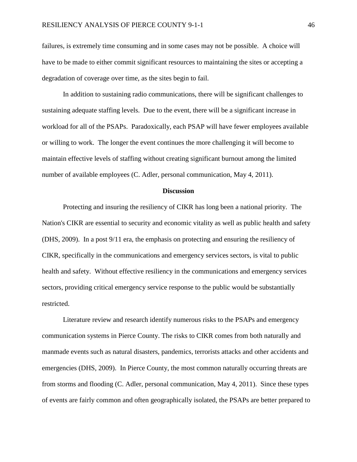failures, is extremely time consuming and in some cases may not be possible. A choice will have to be made to either commit significant resources to maintaining the sites or accepting a degradation of coverage over time, as the sites begin to fail.

In addition to sustaining radio communications, there will be significant challenges to sustaining adequate staffing levels. Due to the event, there will be a significant increase in workload for all of the PSAPs. Paradoxically, each PSAP will have fewer employees available or willing to work. The longer the event continues the more challenging it will become to maintain effective levels of staffing without creating significant burnout among the limited number of available employees (C. Adler, personal communication, May 4, 2011).

#### **Discussion**

Protecting and insuring the resiliency of CIKR has long been a national priority. The Nation's CIKR are essential to security and economic vitality as well as public health and safety (DHS, 2009). In a post 9/11 era, the emphasis on protecting and ensuring the resiliency of CIKR, specifically in the communications and emergency services sectors, is vital to public health and safety. Without effective resiliency in the communications and emergency services sectors, providing critical emergency service response to the public would be substantially restricted.

Literature review and research identify numerous risks to the PSAPs and emergency communication systems in Pierce County. The risks to CIKR comes from both naturally and manmade events such as natural disasters, pandemics, terrorists attacks and other accidents and emergencies (DHS, 2009). In Pierce County, the most common naturally occurring threats are from storms and flooding (C. Adler, personal communication, May 4, 2011). Since these types of events are fairly common and often geographically isolated, the PSAPs are better prepared to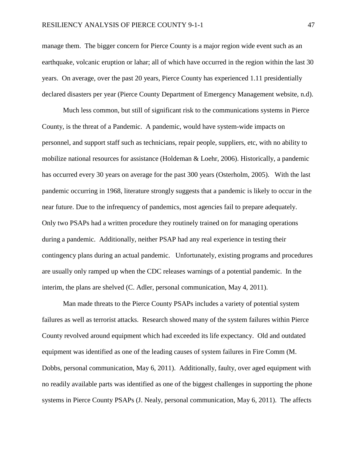manage them. The bigger concern for Pierce County is a major region wide event such as an earthquake, volcanic eruption or lahar; all of which have occurred in the region within the last 30 years. On average, over the past 20 years, Pierce County has experienced 1.11 presidentially declared disasters per year (Pierce County Department of Emergency Management website, n.d).

Much less common, but still of significant risk to the communications systems in Pierce County, is the threat of a Pandemic. A pandemic, would have system-wide impacts on personnel, and support staff such as technicians, repair people, suppliers, etc, with no ability to mobilize national resources for assistance (Holdeman & Loehr, 2006). Historically, a pandemic has occurred every 30 years on average for the past 300 years (Osterholm, 2005). With the last pandemic occurring in 1968, literature strongly suggests that a pandemic is likely to occur in the near future. Due to the infrequency of pandemics, most agencies fail to prepare adequately. Only two PSAPs had a written procedure they routinely trained on for managing operations during a pandemic. Additionally, neither PSAP had any real experience in testing their contingency plans during an actual pandemic. Unfortunately, existing programs and procedures are usually only ramped up when the CDC releases warnings of a potential pandemic. In the interim, the plans are shelved (C. Adler, personal communication, May 4, 2011).

Man made threats to the Pierce County PSAPs includes a variety of potential system failures as well as terrorist attacks. Research showed many of the system failures within Pierce County revolved around equipment which had exceeded its life expectancy. Old and outdated equipment was identified as one of the leading causes of system failures in Fire Comm (M. Dobbs, personal communication, May 6, 2011). Additionally, faulty, over aged equipment with no readily available parts was identified as one of the biggest challenges in supporting the phone systems in Pierce County PSAPs (J. Nealy, personal communication, May 6, 2011). The affects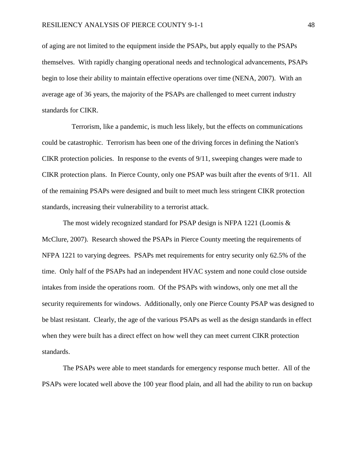of aging are not limited to the equipment inside the PSAPs, but apply equally to the PSAPs themselves. With rapidly changing operational needs and technological advancements, PSAPs begin to lose their ability to maintain effective operations over time (NENA, 2007). With an average age of 36 years, the majority of the PSAPs are challenged to meet current industry standards for CIKR.

 Terrorism, like a pandemic, is much less likely, but the effects on communications could be catastrophic. Terrorism has been one of the driving forces in defining the Nation's CIKR protection policies. In response to the events of 9/11, sweeping changes were made to CIKR protection plans. In Pierce County, only one PSAP was built after the events of 9/11. All of the remaining PSAPs were designed and built to meet much less stringent CIKR protection standards, increasing their vulnerability to a terrorist attack.

The most widely recognized standard for PSAP design is NFPA 1221 (Loomis & McClure, 2007). Research showed the PSAPs in Pierce County meeting the requirements of NFPA 1221 to varying degrees. PSAPs met requirements for entry security only 62.5% of the time. Only half of the PSAPs had an independent HVAC system and none could close outside intakes from inside the operations room. Of the PSAPs with windows, only one met all the security requirements for windows. Additionally, only one Pierce County PSAP was designed to be blast resistant. Clearly, the age of the various PSAPs as well as the design standards in effect when they were built has a direct effect on how well they can meet current CIKR protection standards.

The PSAPs were able to meet standards for emergency response much better. All of the PSAPs were located well above the 100 year flood plain, and all had the ability to run on backup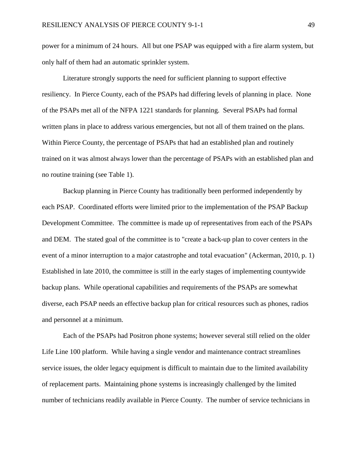power for a minimum of 24 hours. All but one PSAP was equipped with a fire alarm system, but only half of them had an automatic sprinkler system.

Literature strongly supports the need for sufficient planning to support effective resiliency. In Pierce County, each of the PSAPs had differing levels of planning in place. None of the PSAPs met all of the NFPA 1221 standards for planning. Several PSAPs had formal written plans in place to address various emergencies, but not all of them trained on the plans. Within Pierce County, the percentage of PSAPs that had an established plan and routinely trained on it was almost always lower than the percentage of PSAPs with an established plan and no routine training (see Table 1).

Backup planning in Pierce County has traditionally been performed independently by each PSAP. Coordinated efforts were limited prior to the implementation of the PSAP Backup Development Committee. The committee is made up of representatives from each of the PSAPs and DEM. The stated goal of the committee is to "create a back-up plan to cover centers in the event of a minor interruption to a major catastrophe and total evacuation" (Ackerman, 2010, p. 1) Established in late 2010, the committee is still in the early stages of implementing countywide backup plans. While operational capabilities and requirements of the PSAPs are somewhat diverse, each PSAP needs an effective backup plan for critical resources such as phones, radios and personnel at a minimum.

Each of the PSAPs had Positron phone systems; however several still relied on the older Life Line 100 platform. While having a single vendor and maintenance contract streamlines service issues, the older legacy equipment is difficult to maintain due to the limited availability of replacement parts. Maintaining phone systems is increasingly challenged by the limited number of technicians readily available in Pierce County. The number of service technicians in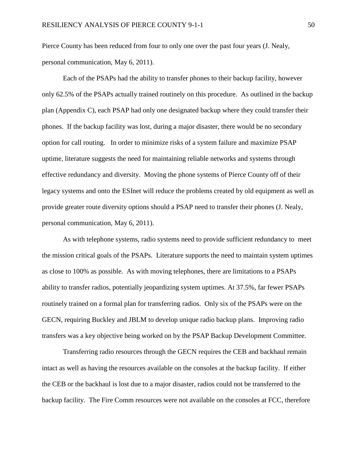Pierce County has been reduced from four to only one over the past four years (J. Nealy, personal communication, May 6, 2011).

Each of the PSAPs had the ability to transfer phones to their backup facility, however only 62.5% of the PSAPs actually trained routinely on this procedure. As outlined in the backup plan (Appendix C), each PSAP had only one designated backup where they could transfer their phones. If the backup facility was lost, during a major disaster, there would be no secondary option for call routing. In order to minimize risks of a system failure and maximize PSAP uptime, literature suggests the need for maintaining reliable networks and systems through effective redundancy and diversity. Moving the phone systems of Pierce County off of their legacy systems and onto the ESInet will reduce the problems created by old equipment as well as provide greater route diversity options should a PSAP need to transfer their phones (J. Nealy, personal communication, May 6, 2011).

As with telephone systems, radio systems need to provide sufficient redundancy to meet the mission critical goals of the PSAPs. Literature supports the need to maintain system uptimes as close to 100% as possible. As with moving telephones, there are limitations to a PSAPs ability to transfer radios, potentially jeopardizing system uptimes. At 37.5%, far fewer PSAPs routinely trained on a formal plan for transferring radios. Only six of the PSAPs were on the GECN, requiring Buckley and JBLM to develop unique radio backup plans. Improving radio transfers was a key objective being worked on by the PSAP Backup Development Committee.

Transferring radio resources through the GECN requires the CEB and backhaul remain intact as well as having the resources available on the consoles at the backup facility. If either the CEB or the backhaul is lost due to a major disaster, radios could not be transferred to the backup facility. The Fire Comm resources were not available on the consoles at FCC, therefore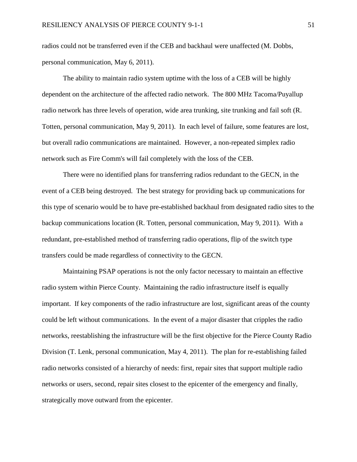radios could not be transferred even if the CEB and backhaul were unaffected (M. Dobbs, personal communication, May 6, 2011).

The ability to maintain radio system uptime with the loss of a CEB will be highly dependent on the architecture of the affected radio network. The 800 MHz Tacoma/Puyallup radio network has three levels of operation, wide area trunking, site trunking and fail soft (R. Totten, personal communication, May 9, 2011). In each level of failure, some features are lost, but overall radio communications are maintained. However, a non-repeated simplex radio network such as Fire Comm's will fail completely with the loss of the CEB.

There were no identified plans for transferring radios redundant to the GECN, in the event of a CEB being destroyed. The best strategy for providing back up communications for this type of scenario would be to have pre-established backhaul from designated radio sites to the backup communications location (R. Totten, personal communication, May 9, 2011). With a redundant, pre-established method of transferring radio operations, flip of the switch type transfers could be made regardless of connectivity to the GECN.

Maintaining PSAP operations is not the only factor necessary to maintain an effective radio system within Pierce County. Maintaining the radio infrastructure itself is equally important. If key components of the radio infrastructure are lost, significant areas of the county could be left without communications. In the event of a major disaster that cripples the radio networks, reestablishing the infrastructure will be the first objective for the Pierce County Radio Division (T. Lenk, personal communication, May 4, 2011). The plan for re-establishing failed radio networks consisted of a hierarchy of needs: first, repair sites that support multiple radio networks or users, second, repair sites closest to the epicenter of the emergency and finally, strategically move outward from the epicenter.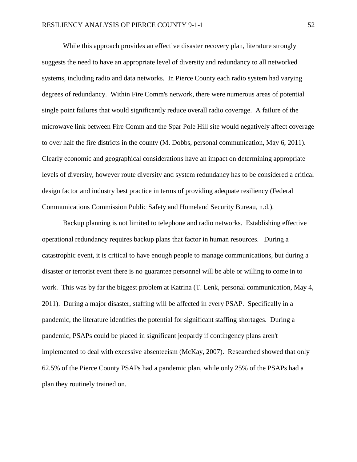While this approach provides an effective disaster recovery plan, literature strongly suggests the need to have an appropriate level of diversity and redundancy to all networked systems, including radio and data networks. In Pierce County each radio system had varying degrees of redundancy. Within Fire Comm's network, there were numerous areas of potential single point failures that would significantly reduce overall radio coverage. A failure of the microwave link between Fire Comm and the Spar Pole Hill site would negatively affect coverage to over half the fire districts in the county (M. Dobbs, personal communication, May 6, 2011). Clearly economic and geographical considerations have an impact on determining appropriate levels of diversity, however route diversity and system redundancy has to be considered a critical design factor and industry best practice in terms of providing adequate resiliency (Federal Communications Commission Public Safety and Homeland Security Bureau, n.d.).

Backup planning is not limited to telephone and radio networks. Establishing effective operational redundancy requires backup plans that factor in human resources. During a catastrophic event, it is critical to have enough people to manage communications, but during a disaster or terrorist event there is no guarantee personnel will be able or willing to come in to work. This was by far the biggest problem at Katrina (T. Lenk, personal communication, May 4, 2011). During a major disaster, staffing will be affected in every PSAP. Specifically in a pandemic, the literature identifies the potential for significant staffing shortages. During a pandemic, PSAPs could be placed in significant jeopardy if contingency plans aren't implemented to deal with excessive absenteeism (McKay, 2007). Researched showed that only 62.5% of the Pierce County PSAPs had a pandemic plan, while only 25% of the PSAPs had a plan they routinely trained on.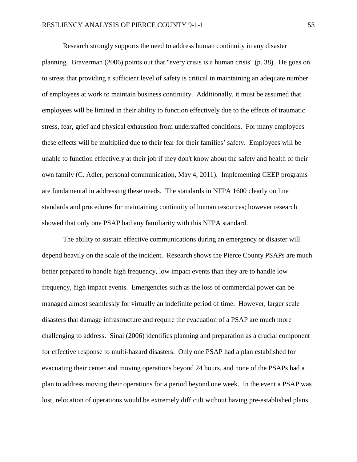Research strongly supports the need to address human continuity in any disaster planning. Braverman (2006) points out that "every crisis is a human crisis" (p. 38). He goes on to stress that providing a sufficient level of safety is critical in maintaining an adequate number of employees at work to maintain business continuity. Additionally, it must be assumed that employees will be limited in their ability to function effectively due to the effects of traumatic stress, fear, grief and physical exhaustion from understaffed conditions. For many employees these effects will be multiplied due to their fear for their families' safety. Employees will be unable to function effectively at their job if they don't know about the safety and health of their own family (C. Adler, personal communication, May 4, 2011). Implementing CEEP programs are fundamental in addressing these needs. The standards in NFPA 1600 clearly outline standards and procedures for maintaining continuity of human resources; however research showed that only one PSAP had any familiarity with this NFPA standard.

The ability to sustain effective communications during an emergency or disaster will depend heavily on the scale of the incident. Research shows the Pierce County PSAPs are much better prepared to handle high frequency, low impact events than they are to handle low frequency, high impact events. Emergencies such as the loss of commercial power can be managed almost seamlessly for virtually an indefinite period of time. However, larger scale disasters that damage infrastructure and require the evacuation of a PSAP are much more challenging to address. Sinai (2006) identifies planning and preparation as a crucial component for effective response to multi-hazard disasters. Only one PSAP had a plan established for evacuating their center and moving operations beyond 24 hours, and none of the PSAPs had a plan to address moving their operations for a period beyond one week. In the event a PSAP was lost, relocation of operations would be extremely difficult without having pre-established plans.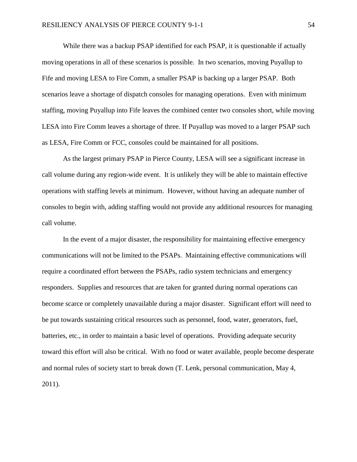While there was a backup PSAP identified for each PSAP, it is questionable if actually moving operations in all of these scenarios is possible. In two scenarios, moving Puyallup to Fife and moving LESA to Fire Comm, a smaller PSAP is backing up a larger PSAP. Both scenarios leave a shortage of dispatch consoles for managing operations. Even with minimum staffing, moving Puyallup into Fife leaves the combined center two consoles short, while moving LESA into Fire Comm leaves a shortage of three. If Puyallup was moved to a larger PSAP such as LESA, Fire Comm or FCC, consoles could be maintained for all positions.

As the largest primary PSAP in Pierce County, LESA will see a significant increase in call volume during any region-wide event. It is unlikely they will be able to maintain effective operations with staffing levels at minimum. However, without having an adequate number of consoles to begin with, adding staffing would not provide any additional resources for managing call volume.

In the event of a major disaster, the responsibility for maintaining effective emergency communications will not be limited to the PSAPs. Maintaining effective communications will require a coordinated effort between the PSAPs, radio system technicians and emergency responders. Supplies and resources that are taken for granted during normal operations can become scarce or completely unavailable during a major disaster. Significant effort will need to be put towards sustaining critical resources such as personnel, food, water, generators, fuel, batteries, etc., in order to maintain a basic level of operations. Providing adequate security toward this effort will also be critical. With no food or water available, people become desperate and normal rules of society start to break down (T. Lenk, personal communication, May 4, 2011).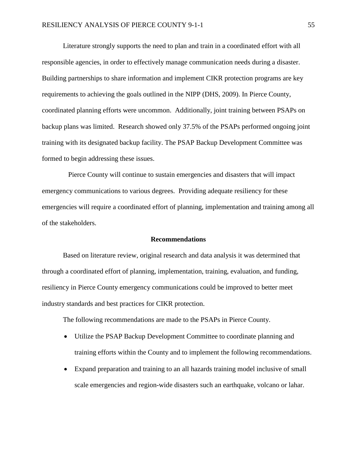Literature strongly supports the need to plan and train in a coordinated effort with all responsible agencies, in order to effectively manage communication needs during a disaster. Building partnerships to share information and implement CIKR protection programs are key requirements to achieving the goals outlined in the NIPP (DHS, 2009). In Pierce County, coordinated planning efforts were uncommon. Additionally, joint training between PSAPs on backup plans was limited. Research showed only 37.5% of the PSAPs performed ongoing joint training with its designated backup facility. The PSAP Backup Development Committee was formed to begin addressing these issues.

 Pierce County will continue to sustain emergencies and disasters that will impact emergency communications to various degrees. Providing adequate resiliency for these emergencies will require a coordinated effort of planning, implementation and training among all of the stakeholders.

#### **Recommendations**

Based on literature review, original research and data analysis it was determined that through a coordinated effort of planning, implementation, training, evaluation, and funding, resiliency in Pierce County emergency communications could be improved to better meet industry standards and best practices for CIKR protection.

The following recommendations are made to the PSAPs in Pierce County.

- Utilize the PSAP Backup Development Committee to coordinate planning and training efforts within the County and to implement the following recommendations.
- Expand preparation and training to an all hazards training model inclusive of small scale emergencies and region-wide disasters such an earthquake, volcano or lahar.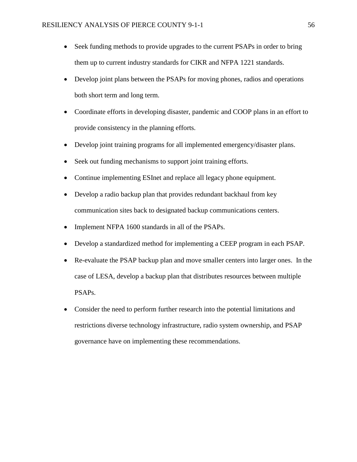- Seek funding methods to provide upgrades to the current PSAPs in order to bring them up to current industry standards for CIKR and NFPA 1221 standards.
- Develop joint plans between the PSAPs for moving phones, radios and operations both short term and long term.
- Coordinate efforts in developing disaster, pandemic and COOP plans in an effort to provide consistency in the planning efforts.
- Develop joint training programs for all implemented emergency/disaster plans.
- Seek out funding mechanisms to support joint training efforts.
- Continue implementing ESInet and replace all legacy phone equipment.
- Develop a radio backup plan that provides redundant backhaul from key communication sites back to designated backup communications centers.
- Implement NFPA 1600 standards in all of the PSAPs.
- Develop a standardized method for implementing a CEEP program in each PSAP.
- Re-evaluate the PSAP backup plan and move smaller centers into larger ones. In the case of LESA, develop a backup plan that distributes resources between multiple PSAPs.
- Consider the need to perform further research into the potential limitations and restrictions diverse technology infrastructure, radio system ownership, and PSAP governance have on implementing these recommendations.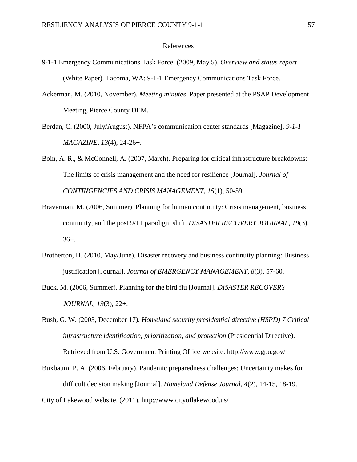#### References

- 9-1-1 Emergency Communications Task Force. (2009, May 5). *Overview and status report* (White Paper). Tacoma, WA: 9-1-1 Emergency Communications Task Force.
- Ackerman, M. (2010, November). *Meeting minutes*. Paper presented at the PSAP Development Meeting, Pierce County DEM.
- Berdan, C. (2000, July/August). NFPA's communication center standards [Magazine]. *9-1-1 MAGAZINE*, *13*(4), 24-26+.
- Boin, A. R., & McConnell, A. (2007, March). Preparing for critical infrastructure breakdowns: The limits of crisis management and the need for resilience [Journal]. *Journal of CONTINGENCIES AND CRISIS MANAGEMENT*, *15*(1), 50-59.
- Braverman, M. (2006, Summer). Planning for human continuity: Crisis management, business continuity, and the post 9/11 paradigm shift. *DISASTER RECOVERY JOURNAL*, *19*(3), 36+.
- Brotherton, H. (2010, May/June). Disaster recovery and business continuity planning: Business justification [Journal]. *Journal of EMERGENCY MANAGEMENT*, *8*(3), 57-60.
- Buck, M. (2006, Summer). Planning for the bird flu [Journal]. *DISASTER RECOVERY JOURNAL*, *19*(3), 22+.
- Bush, G. W. (2003, December 17). *Homeland security presidential directive (HSPD) 7 Critical infrastructure identification, prioritization, and protection* (Presidential Directive). Retrieved from U.S. Government Printing Office website: http://www.gpo.gov/
- Buxbaum, P. A. (2006, February). Pandemic preparedness challenges: Uncertainty makes for difficult decision making [Journal]. *Homeland Defense Journal*, *4*(2), 14-15, 18-19.
- City of Lakewood website. (2011). http://www.cityoflakewood.us/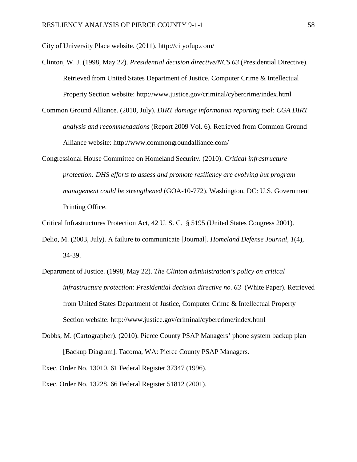City of University Place website. (2011). http://cityofup.com/

- Clinton, W. J. (1998, May 22). *Presidential decision directive/NCS 63* (Presidential Directive). Retrieved from United States Department of Justice, Computer Crime & Intellectual Property Section website: http://www.justice.gov/criminal/cybercrime/index.html
- Common Ground Alliance. (2010, July). *DIRT damage information reporting tool: CGA DIRT analysis and recommendations* (Report 2009 Vol. 6). Retrieved from Common Ground Alliance website: http://www.commongroundalliance.com/
- Congressional House Committee on Homeland Security. (2010). *Critical infrastructure protection: DHS efforts to assess and promote resiliency are evolving but program management could be strengthened* (GOA-10-772). Washington, DC: U.S. Government Printing Office.

Critical Infrastructures Protection Act, 42 U. S. C. § 5195 (United States Congress 2001).

- Delio, M. (2003, July). A failure to communicate [Journal]. *Homeland Defense Journal*, *1*(4), 34-39.
- Department of Justice. (1998, May 22). *The Clinton administration's policy on critical infrastructure protection: Presidential decision directive no. 63* (White Paper). Retrieved from United States Department of Justice, Computer Crime & Intellectual Property Section website: http://www.justice.gov/criminal/cybercrime/index.html
- Dobbs, M. (Cartographer). (2010). Pierce County PSAP Managers' phone system backup plan [Backup Diagram]. Tacoma, WA: Pierce County PSAP Managers.

Exec. Order No. 13010, 61 Federal Register 37347 (1996).

Exec. Order No. 13228, 66 Federal Register 51812 (2001).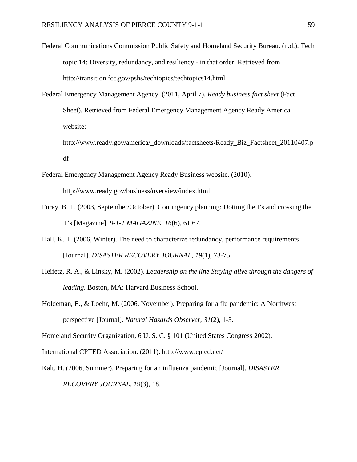- Federal Communications Commission Public Safety and Homeland Security Bureau. (n.d.). Tech topic 14: Diversity, redundancy, and resiliency - in that order. Retrieved from http://transition.fcc.gov/pshs/techtopics/techtopics14.html
- Federal Emergency Management Agency. (2011, April 7). *Ready business fact sheet* (Fact Sheet). Retrieved from Federal Emergency Management Agency Ready America website:
	- http://www.ready.gov/america/\_downloads/factsheets/Ready\_Biz\_Factsheet\_20110407.p df
- Federal Emergency Management Agency Ready Business website. (2010). http://www.ready.gov/business/overview/index.html
- Furey, B. T. (2003, September/October). Contingency planning: Dotting the I's and crossing the T's [Magazine]. *9-1-1 MAGAZINE*, *16*(6), 61,67.
- Hall, K. T. (2006, Winter). The need to characterize redundancy, performance requirements [Journal]. *DISASTER RECOVERY JOURNAL*, *19*(1), 73-75.
- Heifetz, R. A., & Linsky, M. (2002). *Leadership on the line Staying alive through the dangers of leading*. Boston, MA: Harvard Business School.
- Holdeman, E., & Loehr, M. (2006, November). Preparing for a flu pandemic: A Northwest perspective [Journal]. *Natural Hazards Observer*, *31*(2), 1-3.

Homeland Security Organization, 6 U. S. C. § 101 (United States Congress 2002).

International CPTED Association. (2011). http://www.cpted.net/

Kalt, H. (2006, Summer). Preparing for an influenza pandemic [Journal]. *DISASTER RECOVERY JOURNAL*, *19*(3), 18.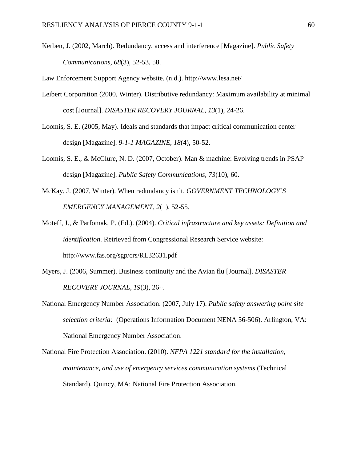Kerben, J. (2002, March). Redundancy, access and interference [Magazine]. *Public Safety Communications*, *68*(3), 52-53, 58.

Law Enforcement Support Agency website. (n.d.). http://www.lesa.net/

- Leibert Corporation (2000, Winter). Distributive redundancy: Maximum availability at minimal cost [Journal]. *DISASTER RECOVERY JOURNAL*, *13*(1), 24-26.
- Loomis, S. E. (2005, May). Ideals and standards that impact critical communication center design [Magazine]. *9-1-1 MAGAZINE*, *18*(4), 50-52.
- Loomis, S. E., & McClure, N. D. (2007, October). Man & machine: Evolving trends in PSAP design [Magazine]. *Public Safety Communications*, *73*(10), 60.
- McKay, J. (2007, Winter). When redundancy isn't. *GOVERNMENT TECHNOLOGY'S EMERGENCY MANAGEMENT*, *2*(1), 52-55.
- Moteff, J., & Parfomak, P. (Ed.). (2004). *Critical infrastructure and key assets: Definition and identification*. Retrieved from Congressional Research Service website: http://www.fas.org/sgp/crs/RL32631.pdf
- Myers, J. (2006, Summer). Business continuity and the Avian flu [Journal]. *DISASTER RECOVERY JOURNAL*, *19*(3), 26+.
- National Emergency Number Association. (2007, July 17). *Public safety answering point site selection criteria:* (Operations Information Document NENA 56-506). Arlington, VA: National Emergency Number Association.
- National Fire Protection Association. (2010). *NFPA 1221 standard for the installation, maintenance, and use of emergency services communication systems* (Technical Standard). Quincy, MA: National Fire Protection Association.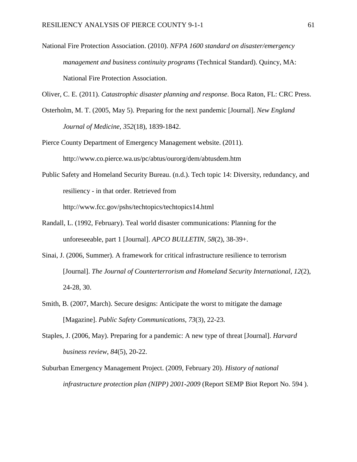National Fire Protection Association. (2010). *NFPA 1600 standard on disaster/emergency management and business continuity programs* (Technical Standard). Quincy, MA: National Fire Protection Association.

Oliver, C. E. (2011). *Catastrophic disaster planning and response*. Boca Raton, FL: CRC Press.

- Osterholm, M. T. (2005, May 5). Preparing for the next pandemic [Journal]. *New England Journal of Medicine*, *352*(18), 1839-1842.
- Pierce County Department of Emergency Management website. (2011). http://www.co.pierce.wa.us/pc/abtus/ourorg/dem/abtusdem.htm
- Public Safety and Homeland Security Bureau. (n.d.). Tech topic 14: Diversity, redundancy, and resiliency - in that order. Retrieved from http://www.fcc.gov/pshs/techtopics/techtopics14.html
- Randall, L. (1992, February). Teal world disaster communications: Planning for the unforeseeable, part 1 [Journal]. *APCO BULLETIN*, *58*(2), 38-39+.
- Sinai, J. (2006, Summer). A framework for critical infrastructure resilience to terrorism [Journal]. *The Journal of Counterterrorism and Homeland Security International*, *12*(2), 24-28, 30.
- Smith, B. (2007, March). Secure designs: Anticipate the worst to mitigate the damage [Magazine]. *Public Safety Communications*, *73*(3), 22-23.
- Staples, J. (2006, May). Preparing for a pandemic: A new type of threat [Journal]. *Harvard business review*, *84*(5), 20-22.
- Suburban Emergency Management Project. (2009, February 20). *History of national infrastructure protection plan (NIPP) 2001-2009* (Report SEMP Biot Report No. 594 ).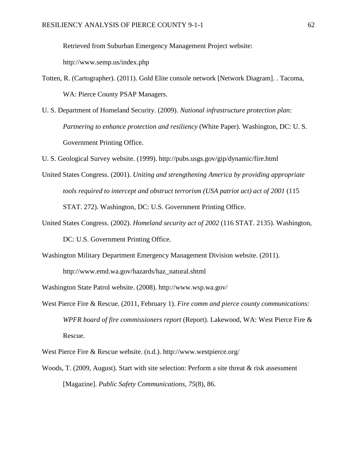Retrieved from Suburban Emergency Management Project website:

http://www.semp.us/index.php

- Totten, R. (Cartographer). (2011). Gold Elite console network [Network Diagram]. . Tacoma, WA: Pierce County PSAP Managers.
- U. S. Department of Homeland Security. (2009). *National infrastructure protection plan: Partnering to enhance protection and resiliency* (White Paper). Washington, DC: U. S. Government Printing Office.

U. S. Geological Survey website. (1999). http://pubs.usgs.gov/gip/dynamic/fire.html

- United States Congress. (2001). *Uniting and strengthening America by providing appropriate tools required to intercept and obstruct terrorism (USA patriot act) act of 2001* (115 STAT. 272). Washington, DC: U.S. Government Printing Office.
- United States Congress. (2002). *Homeland security act of 2002* (116 STAT. 2135). Washington, DC: U.S. Government Printing Office.
- Washington Military Department Emergency Management Division website. (2011). http://www.emd.wa.gov/hazards/haz\_natural.shtml

Washington State Patrol website. (2008). http://www.wsp.wa.gov/

West Pierce Fire & Rescue. (2011, February 1). *Fire comm and pierce county communications: WPFR board of fire commissioners report* (Report). Lakewood, WA: West Pierce Fire & Rescue.

West Pierce Fire & Rescue website. (n.d.). http://www.westpierce.org/

Woods, T. (2009, August). Start with site selection: Perform a site threat & risk assessment [Magazine]. *Public Safety Communications*, *75*(8), 86.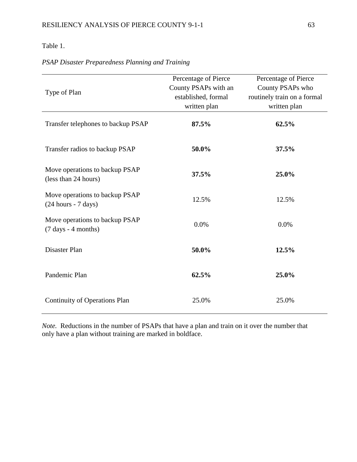#### Table 1.

| Type of Plan                                                            | Percentage of Pierce<br>County PSAPs with an<br>established, formal<br>written plan | Percentage of Pierce<br>County PSAPs who<br>routinely train on a formal<br>written plan |
|-------------------------------------------------------------------------|-------------------------------------------------------------------------------------|-----------------------------------------------------------------------------------------|
| Transfer telephones to backup PSAP                                      | 87.5%                                                                               | 62.5%                                                                                   |
| Transfer radios to backup PSAP                                          | 50.0%                                                                               | 37.5%                                                                                   |
| Move operations to backup PSAP<br>(less than 24 hours)                  | 37.5%                                                                               | 25.0%                                                                                   |
| Move operations to backup PSAP<br>$(24 hours - 7 days)$                 | 12.5%                                                                               | 12.5%                                                                                   |
| Move operations to backup PSAP<br>$(7 \text{ days} - 4 \text{ months})$ | 0.0%                                                                                | 0.0%                                                                                    |
| Disaster Plan                                                           | 50.0%                                                                               | 12.5%                                                                                   |
| Pandemic Plan                                                           | 62.5%                                                                               | 25.0%                                                                                   |
| <b>Continuity of Operations Plan</b>                                    | 25.0%                                                                               | 25.0%                                                                                   |

#### *PSAP Disaster Preparedness Planning and Training*

*Note.* Reductions in the number of PSAPs that have a plan and train on it over the number that only have a plan without training are marked in boldface.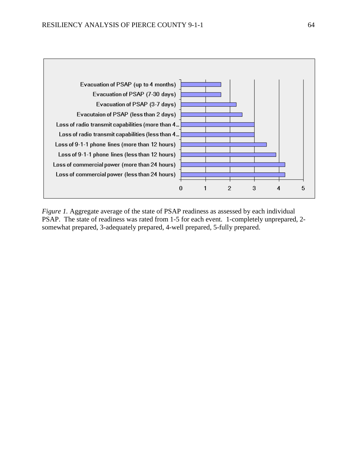

*Figure 1.* Aggregate average of the state of PSAP readiness as assessed by each individual PSAP. The state of readiness was rated from 1-5 for each event. 1-completely unprepared, 2 somewhat prepared, 3-adequately prepared, 4-well prepared, 5-fully prepared.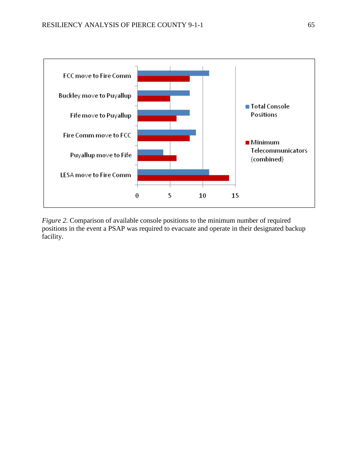

*Figure 2.* Comparison of available console positions to the minimum number of required positions in the event a PSAP was required to evacuate and operate in their designated backup facility.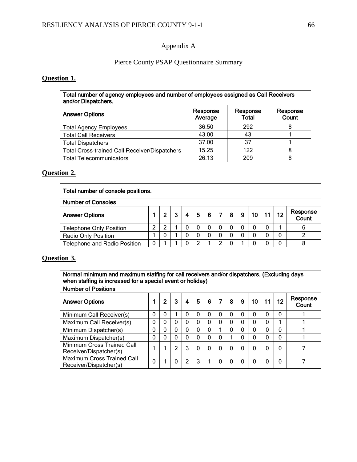#### Appendix A

#### Pierce County PSAP Questionnaire Summary

#### **Question 1.**

| Total number of agency employees and number of employees assigned as Call Receivers<br>and/or Dispatchers. |                     |                   |                   |  |  |
|------------------------------------------------------------------------------------------------------------|---------------------|-------------------|-------------------|--|--|
| <b>Answer Options</b>                                                                                      | Response<br>Average | Response<br>Total | Response<br>Count |  |  |
| <b>Total Agency Employees</b>                                                                              | 36.50               | 292               | 8                 |  |  |
| <b>Total Call Receivers</b>                                                                                | 43.00               | 43                |                   |  |  |
| <b>Total Dispatchers</b>                                                                                   | 37.00               | 37                |                   |  |  |
| <b>Total Cross-trained Call Receiver/Dispatchers</b>                                                       | 15.25               | 122               |                   |  |  |
| <b>Total Telecommunicators</b>                                                                             | 26.13               | 209               | 8                 |  |  |

#### **Question 2.**

| Total number of console positions.  |   |   |  |                |          |   |                |   |                    |  |                   |
|-------------------------------------|---|---|--|----------------|----------|---|----------------|---|--------------------|--|-------------------|
| <b>Number of Consoles</b>           |   |   |  |                |          |   |                |   |                    |  |                   |
| <b>Answer Options</b>               |   | 2 |  | $\overline{4}$ | 5        | 6 | 8 <sup>1</sup> |   | │ 9 │ 10 │ 11 │ 12 |  | Response<br>Count |
| <b>Telephone Only Position</b>      | ົ | າ |  | 0              | 0        |   |                | 0 |                    |  | 6                 |
| <b>Radio Only Position</b>          |   | 0 |  | 0              | $\Omega$ |   |                | 0 |                    |  |                   |
| <b>Telephone and Radio Position</b> | 0 |   |  | 0              |          |   |                |   |                    |  |                   |

#### **Question 3.**

Normal minimum and maximum staffing for call receivers and/or dispatchers. (Excluding days when staffing is increased for a special event or holiday) Number of Positions

| Number of Positions                                         |             |              |   |              |   |   |  |   |             |    |    |          |                   |
|-------------------------------------------------------------|-------------|--------------|---|--------------|---|---|--|---|-------------|----|----|----------|-------------------|
| <b>Answer Options</b>                                       |             | $\mathbf{2}$ | 3 | 4            | 5 | 6 |  | 8 | 9           | 10 | 11 | 12       | Response<br>Count |
| Minimum Call Receiver(s)                                    | 0           | 0            |   |              | 0 | 0 |  | 0 | $\Omega$    | 0  |    | $\Omega$ |                   |
| Maximum Call Receiver(s)                                    | $\Omega$    | 0            | 0 | $\Omega$     | 0 | 0 |  | 0 | $\Omega$    | 0  | 0  |          |                   |
| Minimum Dispatcher(s)                                       | $\mathbf 0$ | 0            | 0 | $\mathbf{0}$ | 0 | 0 |  | 0 | $\mathbf 0$ | 0  |    | 0        |                   |
| Maximum Dispatcher(s)                                       | $\Omega$    | 0            | 0 | $\mathbf 0$  | 0 | 0 |  |   | $\mathbf 0$ |    |    | 0        |                   |
| Minimum Cross Trained Call<br>Receiver/Dispatcher(s)        |             |              | າ | 3            | 0 | 0 |  | 0 | $\Omega$    |    |    | $\Omega$ |                   |
| <b>Maximum Cross Trained Call</b><br>Receiver/Dispatcher(s) | 0           |              | 0 | 2            | 3 |   |  | 0 | 0           |    |    | O        |                   |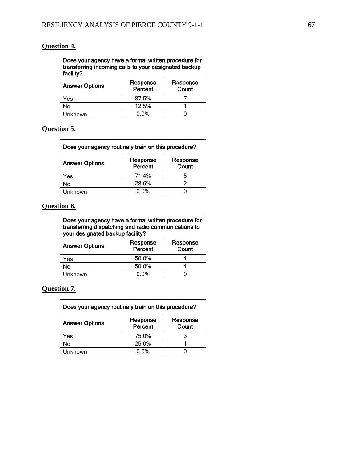## **Question 4.**

| Does your agency have a formal written procedure for<br>transferring incoming calls to your designated backup<br>facility? |                     |                   |  |  |  |
|----------------------------------------------------------------------------------------------------------------------------|---------------------|-------------------|--|--|--|
| <b>Answer Options</b>                                                                                                      | Response<br>Percent | Response<br>Count |  |  |  |
| Yes                                                                                                                        | 87.5%               |                   |  |  |  |
| No                                                                                                                         | 12.5%               |                   |  |  |  |
| Unknown                                                                                                                    | $0.0\%$             |                   |  |  |  |

#### **Question 5.**  $\mathsf{r}$

| Does your agency routinely train on this procedure? |                     |                   |  |  |
|-----------------------------------------------------|---------------------|-------------------|--|--|
| <b>Answer Options</b>                               | Response<br>Percent | Response<br>Count |  |  |
| Yes                                                 | 71.4%               | 5                 |  |  |
| No                                                  | 28.6%               |                   |  |  |
| Unknown                                             | $0.0\%$             |                   |  |  |

## **Question 6.**

| Does your agency have a formal written procedure for<br>transferring dispatching and radio communications to<br>your designated backup facility? |                     |  |  |  |  |  |
|--------------------------------------------------------------------------------------------------------------------------------------------------|---------------------|--|--|--|--|--|
| <b>Answer Options</b>                                                                                                                            | Response<br>Percent |  |  |  |  |  |
| Yes                                                                                                                                              | 50.0%               |  |  |  |  |  |
| No                                                                                                                                               | 50.0%               |  |  |  |  |  |
| Unknown                                                                                                                                          | 0.0%                |  |  |  |  |  |

# **Question 7.**

| Does your agency routinely train on this procedure? |                     |                   |  |  |
|-----------------------------------------------------|---------------------|-------------------|--|--|
| <b>Answer Options</b>                               | Response<br>Percent | Response<br>Count |  |  |
| Yes                                                 | 75.0%               |                   |  |  |
| No                                                  | 25.0%               |                   |  |  |
| Unknown                                             | 0.0%                |                   |  |  |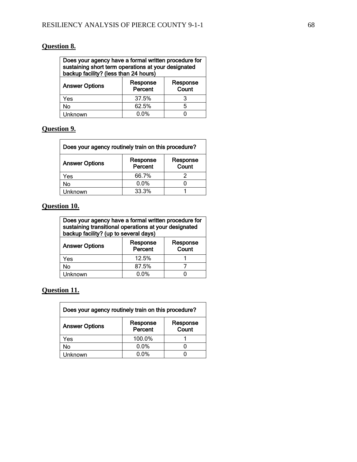## **Question 8.**

| Does your agency have a formal written procedure for<br>sustaining short term operations at your designated<br>backup facility? (less than 24 hours) |                   |   |  |  |  |
|------------------------------------------------------------------------------------------------------------------------------------------------------|-------------------|---|--|--|--|
| <b>Answer Options</b>                                                                                                                                | Response<br>Count |   |  |  |  |
| Yes                                                                                                                                                  | 37.5%             | 3 |  |  |  |
| No                                                                                                                                                   | 62.5%             | 5 |  |  |  |
| Unknown                                                                                                                                              | $0.0\%$           |   |  |  |  |

# **Question 9.**

| Does your agency routinely train on this procedure? |                     |                   |  |  |
|-----------------------------------------------------|---------------------|-------------------|--|--|
| <b>Answer Options</b>                               | Response<br>Percent | Response<br>Count |  |  |
| Yes                                                 | 66.7%               |                   |  |  |
| No                                                  | $0.0\%$             |                   |  |  |
| Unknown                                             | 33.3%               |                   |  |  |

## **Question 10.**

| Does your agency have a formal written procedure for<br>sustaining transitional operations at your designated<br>backup facility? (up to several days) |                     |  |  |  |  |
|--------------------------------------------------------------------------------------------------------------------------------------------------------|---------------------|--|--|--|--|
| <b>Answer Options</b>                                                                                                                                  | Response<br>Percent |  |  |  |  |
| Yes                                                                                                                                                    | 12.5%               |  |  |  |  |
| No                                                                                                                                                     | 87.5%               |  |  |  |  |
| Unknown                                                                                                                                                | 0.0%                |  |  |  |  |

**Question 11.**

| Does your agency routinely train on this procedure? |                     |                   |  |  |
|-----------------------------------------------------|---------------------|-------------------|--|--|
| <b>Answer Options</b>                               | Response<br>Percent | Response<br>Count |  |  |
| Yes                                                 | 100.0%              |                   |  |  |
| No                                                  | 0.0%                |                   |  |  |
| Unknown                                             | $0.0\%$             |                   |  |  |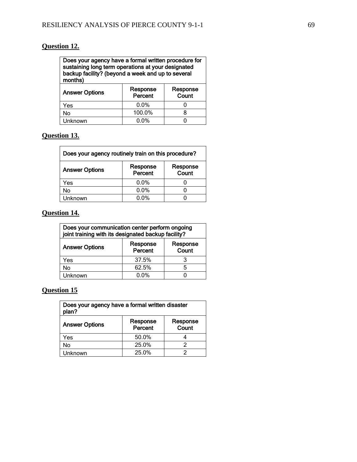## **Question 12.**

| Does your agency have a formal written procedure for |  |  |
|------------------------------------------------------|--|--|
| sustaining long term operations at your designated   |  |  |
| backup facility? (beyond a week and up to several    |  |  |
| months)                                              |  |  |
|                                                      |  |  |

| <b>Answer Options</b> | Response<br>Percent | Response<br>Count |
|-----------------------|---------------------|-------------------|
| Yes                   | $0.0\%$             |                   |
| No                    | 100.0%              |                   |
| Unknown               | $0.0\%$             |                   |

#### **Question 13.**

| Does your agency routinely train on this procedure? |                     |                   |  |
|-----------------------------------------------------|---------------------|-------------------|--|
| <b>Answer Options</b>                               | Response<br>Percent | Response<br>Count |  |
| Yes                                                 | 0.0%                |                   |  |
| No                                                  | 0.0%                |                   |  |
| Unknown                                             | <u>በ በ%</u>         |                   |  |

## **Question 14.**

| Does your communication center perform ongoing<br>joint training with its designated backup facility? |                     |                   |  |
|-------------------------------------------------------------------------------------------------------|---------------------|-------------------|--|
| <b>Answer Options</b>                                                                                 | Response<br>Percent | Response<br>Count |  |
| Yes                                                                                                   | 37.5%               | 3                 |  |
| No                                                                                                    | 62.5%               | 5                 |  |
| Unknown                                                                                               | $0.0\%$             |                   |  |

# **Question 15**

| Does your agency have a formal written disaster<br>plan? |                     |                   |
|----------------------------------------------------------|---------------------|-------------------|
| <b>Answer Options</b>                                    | Response<br>Percent | Response<br>Count |
| Yes                                                      | 50.0%               |                   |
| No                                                       | 25.0%               |                   |
| Unknown                                                  | 25.0%               |                   |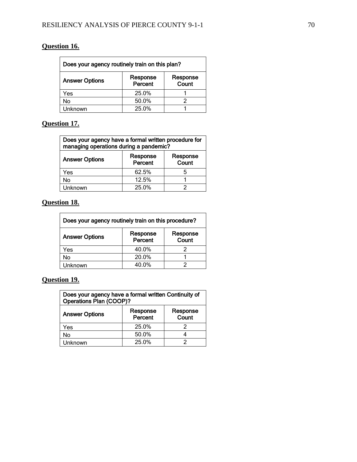## **Question 16.**

| Does your agency routinely train on this plan? |                     |                   |
|------------------------------------------------|---------------------|-------------------|
| <b>Answer Options</b>                          | Response<br>Percent | Response<br>Count |
| Yes                                            | 25.0%               |                   |
| No                                             | 50.0%               |                   |
| Unknown                                        | 25.0%               |                   |

## **Question 17.**

| Does your agency have a formal written procedure for<br>managing operations during a pandemic? |                     |                   |
|------------------------------------------------------------------------------------------------|---------------------|-------------------|
| <b>Answer Options</b>                                                                          | Response<br>Percent | Response<br>Count |
| Yes                                                                                            | 62.5%               |                   |
| No                                                                                             | 12.5%               |                   |
| Unknown                                                                                        | 25.0%               |                   |

## **Question 18.**

| Does your agency routinely train on this procedure? |                     |                   |
|-----------------------------------------------------|---------------------|-------------------|
| <b>Answer Options</b>                               | Response<br>Percent | Response<br>Count |
| Yes                                                 | 40.0%               |                   |
| No                                                  | 20.0%               |                   |
| Unknown                                             | 40.0%               |                   |

## **Question 19.**

| Does your agency have a formal written Continuity of<br>Operations Plan (COOP)? |                     |                   |
|---------------------------------------------------------------------------------|---------------------|-------------------|
| <b>Answer Options</b>                                                           | Response<br>Percent | Response<br>Count |
| Yes                                                                             | 25.0%               |                   |
| No                                                                              | 50.0%               |                   |
| Unknown                                                                         | 25.0%               |                   |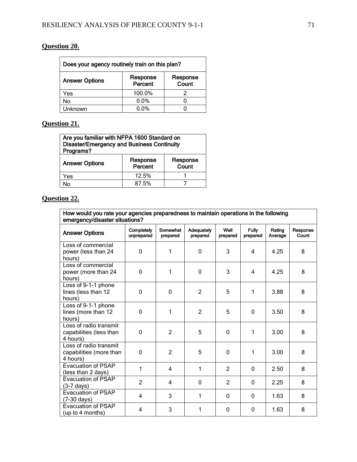## **Question 20.**

| Does your agency routinely train on this plan? |                     |                   |
|------------------------------------------------|---------------------|-------------------|
| <b>Answer Options</b>                          | Response<br>Percent | Response<br>Count |
| Yes                                            | 100.0%              |                   |
| No                                             | 0.0%                |                   |
| Unknown                                        | $0.0\%$             |                   |

# **Question 21.**

| Are you familiar with NFPA 1600 Standard on<br><b>Disaster/Emergency and Business Continuity</b><br>Programs? |                     |                   |  |
|---------------------------------------------------------------------------------------------------------------|---------------------|-------------------|--|
| <b>Answer Options</b>                                                                                         | Response<br>Percent | Response<br>Count |  |
| Yes                                                                                                           | 12.5%               |                   |  |
| N٥                                                                                                            | 87.5%               |                   |  |

## **Question 22.**

| How would you rate your agencies preparedness to maintain operations in the following |  |
|---------------------------------------------------------------------------------------|--|
| emergency/disaster situations?                                                        |  |

| <b>Answer Options</b>                                         | Completely<br>unprepared | Somewhat<br>prepared | Adequately<br>prepared | Well<br>prepared | <b>Fully</b><br>prepared | Rating<br>Average | Response<br>Count |
|---------------------------------------------------------------|--------------------------|----------------------|------------------------|------------------|--------------------------|-------------------|-------------------|
| Loss of commercial<br>power (less than 24<br>hours)           | $\Omega$                 | 1                    | $\Omega$               | 3                | 4                        | 4.25              | 8                 |
| Loss of commercial<br>power (more than 24<br>hours)           | $\overline{0}$           | 1                    | $\mathbf 0$            | 3                | 4                        | 4.25              | 8                 |
| Loss of 9-1-1 phone<br>lines (less than 12<br>hours)          | 0                        | 0                    | 2                      | 5                | 1                        | 3.88              | 8                 |
| Loss of 9-1-1 phone<br>lines (more than 12<br>hours)          | $\Omega$                 | 1                    | $\overline{2}$         | 5                | $\Omega$                 | 3.50              | 8                 |
| Loss of radio transmit<br>capabilities (less than<br>4 hours) | 0                        | $\overline{2}$       | 5                      | $\Omega$         | 1                        | 3.00              | 8                 |
| Loss of radio transmit<br>capabilities (more than<br>4 hours) | 0                        | $\overline{2}$       | 5                      | $\mathbf 0$      | 1                        | 3.00              | 8                 |
| <b>Evacuation of PSAP</b><br>(less than 2 days)               | 1                        | 4                    | 1                      | $\mathcal{P}$    | 0                        | 2.50              | 8                 |
| <b>Evacuation of PSAP</b><br>$(3-7 \text{ days})$             | $\overline{2}$           | 4                    | $\mathbf 0$            | $\overline{2}$   | 0                        | 2.25              | 8                 |
| <b>Evacuation of PSAP</b><br>$(7-30 \text{ days})$            | 4                        | 3                    | 1                      | $\Omega$         | $\Omega$                 | 1.63              | 8                 |
| <b>Evacuation of PSAP</b><br>(up to 4 months)                 | 4                        | 3                    | 1                      | $\mathbf{0}$     | 0                        | 1.63              | 8                 |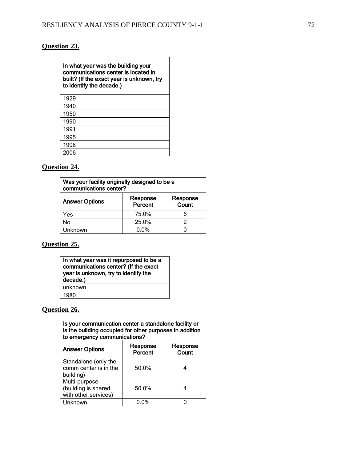## **Question 23.**

| In what year was the building your<br>communications center is located in<br>built? (If the exact year is unknown, try<br>to identify the decade.) |  |  |  |  |
|----------------------------------------------------------------------------------------------------------------------------------------------------|--|--|--|--|
| 1929                                                                                                                                               |  |  |  |  |
| 1940                                                                                                                                               |  |  |  |  |
| 1950                                                                                                                                               |  |  |  |  |
| 1990                                                                                                                                               |  |  |  |  |
| 1991                                                                                                                                               |  |  |  |  |
| 1995                                                                                                                                               |  |  |  |  |
| 1998                                                                                                                                               |  |  |  |  |
| 2006                                                                                                                                               |  |  |  |  |

## **Question 24.**

| Was your facility originally designed to be a<br>communications center? |                     |                   |  |  |  |  |
|-------------------------------------------------------------------------|---------------------|-------------------|--|--|--|--|
| <b>Answer Options</b>                                                   | Response<br>Percent | Response<br>Count |  |  |  |  |
| Yes                                                                     | 75.0%               | 6                 |  |  |  |  |
| No                                                                      | 25.0%               | 2                 |  |  |  |  |
| Unknown                                                                 | $0.0\%$             |                   |  |  |  |  |

# **Question 25.**

| In what year was it repurposed to be a<br>communications center? (If the exact<br>year is unknown, try to identify the<br>decade.) |  |  |
|------------------------------------------------------------------------------------------------------------------------------------|--|--|
| unknown                                                                                                                            |  |  |
| 1980                                                                                                                               |  |  |

# **Question 26.**

| Is your communication center a standalone facility or<br>is the building occupied for other purposes in addition<br>to emergency communications? |                     |                   |  |  |  |  |
|--------------------------------------------------------------------------------------------------------------------------------------------------|---------------------|-------------------|--|--|--|--|
| <b>Answer Options</b>                                                                                                                            | Response<br>Percent | Response<br>Count |  |  |  |  |
| Standalone (only the<br>comm center is in the<br>building)                                                                                       | 50.0%               |                   |  |  |  |  |
| Multi-purpose<br>(building is shared<br>with other services)                                                                                     | 50.0%               |                   |  |  |  |  |
| Unknown                                                                                                                                          | 0.0%                |                   |  |  |  |  |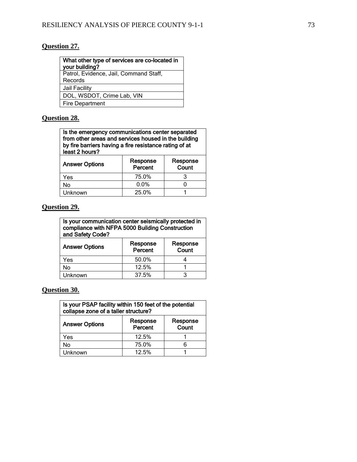# **Question 27.**

| What other type of services are co-located in<br>your building? |
|-----------------------------------------------------------------|
| Patrol, Evidence, Jail, Command Staff,                          |
| Records                                                         |

Jail Facility

DOL, WSDOT, Crime Lab, VIN

Fire Department

## **Question 28.**

| Is the emergency communications center separated       |
|--------------------------------------------------------|
| from other areas and services housed in the building   |
| by fire barriers having a fire resistance rating of at |
| least 2 hours?                                         |
|                                                        |

| <b>Answer Options</b> | Response<br>Percent | Response<br>Count |
|-----------------------|---------------------|-------------------|
| Yes                   | 75.0%               |                   |
| No                    | $0.0\%$             |                   |
| Unknown               | 25.0%               |                   |

# **Question 29.**

| Is your communication center seismically protected in |
|-------------------------------------------------------|
| compliance with NFPA 5000 Building Construction       |
| and Safety Code?                                      |

| <b>Answer Options</b> | Response<br>Percent | Response<br>Count |
|-----------------------|---------------------|-------------------|
| Yes                   | 50.0%               |                   |
| No                    | 12.5%               |                   |
| Unknown               | 37.5%               |                   |

**Question 30.**

| Is your PSAP facility within 150 feet of the potential<br>collapse zone of a taller structure? |                     |                   |
|------------------------------------------------------------------------------------------------|---------------------|-------------------|
| <b>Answer Options</b>                                                                          | Response<br>Percent | Response<br>Count |
| Yes                                                                                            | 12.5%               |                   |
| No                                                                                             | 75.0%               | 6                 |
| Unknown                                                                                        | 12.5%               |                   |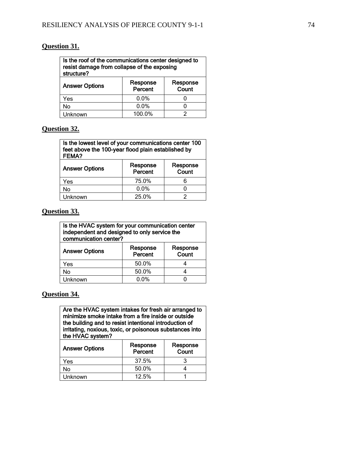## **Question 31.**

| Is the roof of the communications center designed to<br>resist damage from collapse of the exposing<br>structure? |                     |                   |  |
|-------------------------------------------------------------------------------------------------------------------|---------------------|-------------------|--|
| <b>Answer Options</b>                                                                                             | Response<br>Percent | Response<br>Count |  |
| Yes                                                                                                               | 0.0%                |                   |  |
| No                                                                                                                | 0.0%                |                   |  |
| 100.0%<br>Unknown                                                                                                 |                     |                   |  |

#### **Question 32.**

| Is the lowest level of your communications center 100<br>feet above the 100-year flood plain established by<br><b>FEMA?</b> |  |
|-----------------------------------------------------------------------------------------------------------------------------|--|
|                                                                                                                             |  |

| <b>Answer Options</b> | Response<br>Percent | Response<br>Count |
|-----------------------|---------------------|-------------------|
| Yes                   | 75.0%               |                   |
| No                    | $0.0\%$             |                   |
| Unknown               | 25.0%               |                   |

### **Question 33.**

| Is the HVAC system for your communication center<br>independent and designed to only service the<br>communication center? |       |  |  |
|---------------------------------------------------------------------------------------------------------------------------|-------|--|--|
| Response<br>Response<br><b>Answer Options</b><br>Percent<br>Count                                                         |       |  |  |
| Yes                                                                                                                       | 50.0% |  |  |
| No                                                                                                                        | 50.0% |  |  |
| Unknown                                                                                                                   | 0.0%  |  |  |

### **Question 34.**

Are the HVAC system intakes for fresh air arranged to minimize smoke intake from a fire inside or outside the building and to resist intentional introduction of irritating, noxious, toxic, or poisonous substances into the HVAC system?

| <b>Answer Options</b> | Response<br>Percent | Response<br>Count |
|-----------------------|---------------------|-------------------|
| Yes                   | 37.5%               |                   |
| No                    | 50.0%               |                   |
| Unknown               | 12.5%               |                   |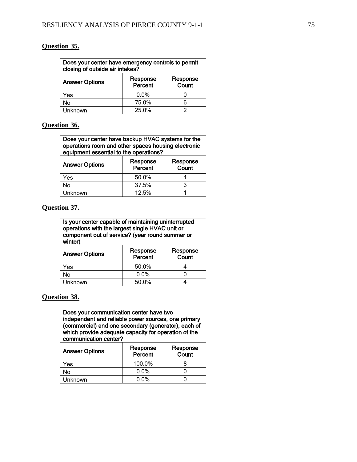## **Question 35.**

| Does your center have emergency controls to permit<br>closing of outside air intakes? |                     |                   |
|---------------------------------------------------------------------------------------|---------------------|-------------------|
| <b>Answer Options</b>                                                                 | Response<br>Percent | Response<br>Count |
| Yes                                                                                   | $0.0\%$             |                   |
| No                                                                                    | 75.0%               |                   |
| Unknown                                                                               | 25.0%               |                   |

#### **Question 36.**

| Does your center have backup HVAC systems for the   |
|-----------------------------------------------------|
| operations room and other spaces housing electronic |
| equipment essential to the operations?              |

| <b>Answer Options</b> | Response<br>Percent | Response<br>Count |
|-----------------------|---------------------|-------------------|
| Yes                   | 50.0%               |                   |
| No                    | 37.5%               |                   |
| Unknown               | 12.5%               |                   |

#### **Question 37.**

| Is your center capable of maintaining uninterrupted<br>operations with the largest single HVAC unit or |  |  |
|--------------------------------------------------------------------------------------------------------|--|--|
| component out of service? (year round summer or<br>winter)                                             |  |  |
|                                                                                                        |  |  |

| <b>Answer Options</b> | Response<br>Percent | Response<br>Count |
|-----------------------|---------------------|-------------------|
| Yes                   | 50.0%               |                   |
| No                    | $0.0\%$             |                   |
| Unknown               | 50.0%               |                   |

#### **Question 38.**

Does your communication center have two independent and reliable power sources, one primary (commercial) and one secondary (generator), each of which provide adequate capacity for operation of the communication center?

| Response<br>Percent | Response<br>Count |
|---------------------|-------------------|
| 100.0%              |                   |
| $0.0\%$             |                   |
| $0.0\%$             |                   |
|                     |                   |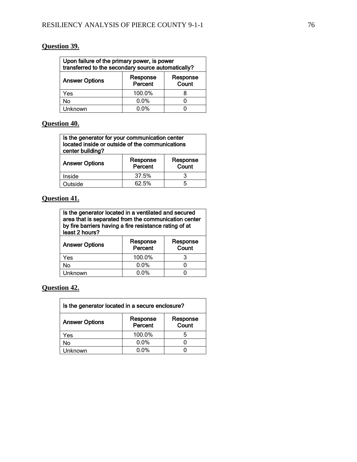## **Question 39.**

| Upon failure of the primary power, is power<br>transferred to the secondary source automatically? |         |                   |
|---------------------------------------------------------------------------------------------------|---------|-------------------|
| Response<br><b>Answer Options</b><br>Percent                                                      |         | Response<br>Count |
| Yes                                                                                               | 100.0%  |                   |
| No                                                                                                | 0.0%    |                   |
| Unknown                                                                                           | $0.0\%$ |                   |

# **Question 40.**

| Is the generator for your communication center<br>located inside or outside of the communications<br>center building? |                     |                   |
|-----------------------------------------------------------------------------------------------------------------------|---------------------|-------------------|
| <b>Answer Options</b>                                                                                                 | Response<br>Percent | Response<br>Count |
| Inside                                                                                                                | 37.5%               |                   |
| Outside                                                                                                               | 62.5%               | 5                 |

# **Question 41.**

| Is the generator located in a ventilated and secured<br>area that is separated from the communication center<br>by fire barriers having a fire resistance rating of at<br>least 2 hours? |                     |                   |
|------------------------------------------------------------------------------------------------------------------------------------------------------------------------------------------|---------------------|-------------------|
| <b>Answer Options</b>                                                                                                                                                                    | Response<br>Percent | Response<br>Count |
| Yes                                                                                                                                                                                      | 100.0%              | 3                 |
| No                                                                                                                                                                                       | 0.0%                |                   |
| l Inknown                                                                                                                                                                                | 0.0%                |                   |

# **Question 42.**

| Is the generator located in a secure enclosure? |                     |                   |
|-------------------------------------------------|---------------------|-------------------|
| <b>Answer Options</b>                           | Response<br>Percent | Response<br>Count |
| Yes                                             | 100.0%              | b                 |
| No                                              | 0.0%                |                   |
| Unknown                                         | 0.0%                |                   |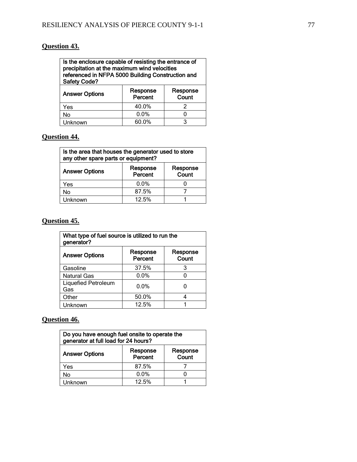# **Question 43.**

| Is the enclosure capable of resisting the entrance of<br>precipitation at the maximum wind velocities |          |          |
|-------------------------------------------------------------------------------------------------------|----------|----------|
| referenced in NFPA 5000 Building Construction and                                                     |          |          |
| <b>Safety Code?</b>                                                                                   |          |          |
|                                                                                                       | Doopopoo | Doononoo |

| <b>Answer Options</b> | Response<br>Percent | Response<br>Count |
|-----------------------|---------------------|-------------------|
| Yes                   | 40.0%               |                   |
| No                    | $0.0\%$             |                   |
| Unknown               | 60.0%               |                   |

# **Question 44.**

| Is the area that houses the generator used to store<br>any other spare parts or equipment? |                     |                   |
|--------------------------------------------------------------------------------------------|---------------------|-------------------|
| <b>Answer Options</b>                                                                      | Response<br>Percent | Response<br>Count |
| Yes                                                                                        | $0.0\%$             |                   |
| No                                                                                         | 87.5%               |                   |
| Unknown                                                                                    | 12.5%               |                   |

## **Question 45.**

| What type of fuel source is utilized to run the<br>generator? |                     |                   |
|---------------------------------------------------------------|---------------------|-------------------|
| <b>Answer Options</b>                                         | Response<br>Percent | Response<br>Count |
| Gasoline                                                      | 37.5%               | 3                 |
| <b>Natural Gas</b>                                            | 0.0%                |                   |
| <b>Liquefied Petroleum</b><br>Gas                             | $0.0\%$             |                   |
| Other                                                         | 50.0%               |                   |
| Unknown                                                       | 12.5%               |                   |

# **Question 46.**

| Do you have enough fuel onsite to operate the<br>generator at full load for 24 hours? |                     |                   |
|---------------------------------------------------------------------------------------|---------------------|-------------------|
| <b>Answer Options</b>                                                                 | Response<br>Percent | Response<br>Count |
| Yes                                                                                   | 87.5%               |                   |
| No                                                                                    | 0.0%                |                   |
| <b>Unknown</b>                                                                        | 12.5%               |                   |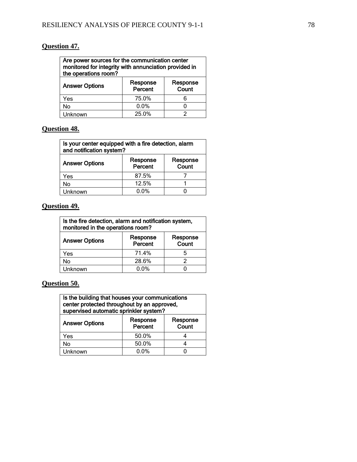## **Question 47.**

| Are power sources for the communication center<br>monitored for integrity with annunciation provided in<br>the operations room? |                     |                   |
|---------------------------------------------------------------------------------------------------------------------------------|---------------------|-------------------|
| <b>Answer Options</b>                                                                                                           | Response<br>Percent | Response<br>Count |
| Yes                                                                                                                             | 75.0%               |                   |
| No                                                                                                                              | 0.0%                |                   |
| l Inknown                                                                                                                       | 25.0%               |                   |

# **Question 48.**

| Is your center equipped with a fire detection, alarm<br>and notification system? |                     |                   |
|----------------------------------------------------------------------------------|---------------------|-------------------|
| <b>Answer Options</b>                                                            | Response<br>Percent | Response<br>Count |
| Yes                                                                              | 87.5%               |                   |
| No                                                                               | 12.5%               |                   |
| Unknown                                                                          | 0.0%                |                   |

# **Question 49.**

| Is the fire detection, alarm and notification system,<br>monitored in the operations room? |                     |                   |
|--------------------------------------------------------------------------------------------|---------------------|-------------------|
| <b>Answer Options</b>                                                                      | Response<br>Percent | Response<br>Count |
| Yes                                                                                        | 71.4%               | 5                 |
| No                                                                                         | 28.6%               | っ                 |
| Unknown                                                                                    | 0.0%                |                   |

# **Question 50.**

| Is the building that houses your communications<br>center protected throughout by an approved,<br>supervised automatic sprinkler system? |                     |                   |
|------------------------------------------------------------------------------------------------------------------------------------------|---------------------|-------------------|
| <b>Answer Options</b>                                                                                                                    | Response<br>Percent | Response<br>Count |
| Yes                                                                                                                                      | 50.0%               |                   |
| No                                                                                                                                       | 50.0%               |                   |
| Unknown                                                                                                                                  | $0.0\%$             |                   |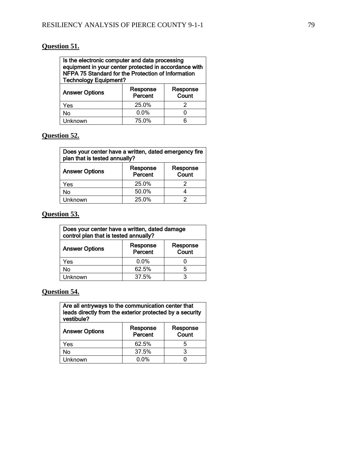## **Question 51.**

| Is the electronic computer and data processing        |
|-------------------------------------------------------|
| equipment in your center protected in accordance with |
| NFPA 75 Standard for the Protection of Information    |
| <b>Technology Equipment?</b>                          |
|                                                       |

| <b>Answer Options</b> | Response<br>Percent | Response<br>Count |
|-----------------------|---------------------|-------------------|
| Yes                   | 25.0%               |                   |
| No                    | $0.0\%$             |                   |
| Unknown               | 75.0%               |                   |

#### **Question 52.**

| Does your center have a written, dated emergency fire<br>plan that is tested annually? |                     |                   |
|----------------------------------------------------------------------------------------|---------------------|-------------------|
| <b>Answer Options</b>                                                                  | Response<br>Percent | Response<br>Count |
| Yes                                                                                    | 25.0%               |                   |
| No                                                                                     | 50.0%               |                   |
| Unknown                                                                                | 25.0%               |                   |

#### **Question 53.**

| Does your center have a written, dated damage<br>control plan that is tested annually? |                     |                   |
|----------------------------------------------------------------------------------------|---------------------|-------------------|
| <b>Answer Options</b>                                                                  | Response<br>Percent | Response<br>Count |
| Yes                                                                                    | 0.0%                |                   |
| No                                                                                     | 62.5%               | 5                 |
| Unknown                                                                                | 37.5%               | 3                 |

**Question 54.**

Are all entryways to the communication center that leads directly from the exterior protected by a security vestibule?  $\top$ 

| Response<br>Percent | Response<br>Count |
|---------------------|-------------------|
| 62.5%               |                   |
| 37.5%               |                   |
| $0.0\%$             |                   |
|                     |                   |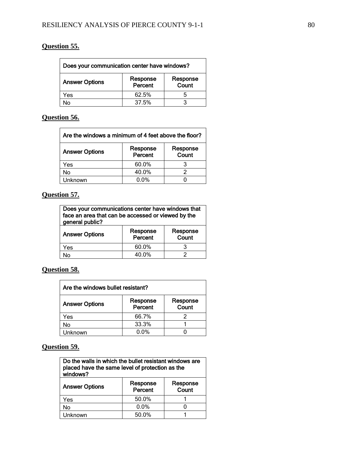# **Question 55.**

| Does your communication center have windows? |                     |                   |
|----------------------------------------------|---------------------|-------------------|
| <b>Answer Options</b>                        | Response<br>Percent | Response<br>Count |
| Yes                                          | 62.5%               | h                 |
| No                                           | 37.5%               |                   |

# **Question 56.**

| Are the windows a minimum of 4 feet above the floor? |                     |                   |
|------------------------------------------------------|---------------------|-------------------|
| <b>Answer Options</b>                                | Response<br>Percent | Response<br>Count |
| Yes                                                  | 60.0%               |                   |
| No                                                   | 40.0%               |                   |
| Unknown                                              | $0.0\%$             |                   |

# **Question 57.**

| Does your communications center have windows that<br>face an area that can be accessed or viewed by the<br>general public? |                     |                   |
|----------------------------------------------------------------------------------------------------------------------------|---------------------|-------------------|
| <b>Answer Options</b>                                                                                                      | Response<br>Percent | Response<br>Count |
| Yes                                                                                                                        | 60.0%               |                   |
| N۸                                                                                                                         | 40.0%               |                   |

## **Question 58.**

| Are the windows bullet resistant? |                     |                   |
|-----------------------------------|---------------------|-------------------|
| <b>Answer Options</b>             | Response<br>Percent | Response<br>Count |
| Yes                               | 66.7%               |                   |
| No                                | 33.3%               |                   |
| Unknown                           | $0.0\%$             |                   |

# **Question 59.**

| Do the walls in which the bullet resistant windows are<br>placed have the same level of protection as the<br>windows? |                     |                   |
|-----------------------------------------------------------------------------------------------------------------------|---------------------|-------------------|
| <b>Answer Options</b>                                                                                                 | Response<br>Percent | Response<br>Count |
| Yes                                                                                                                   | 50.0%               |                   |
| No                                                                                                                    | 0.0%                |                   |
| l Inknown                                                                                                             | 50.0%               |                   |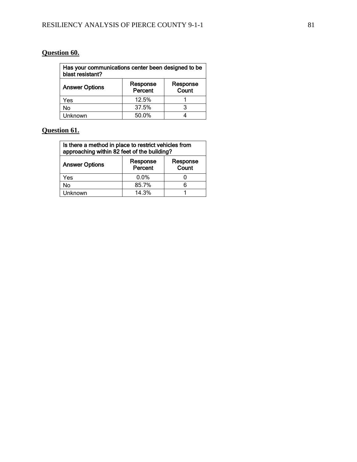# **Question 60.**

| Has your communications center been designed to be<br>blast resistant? |                     |                   |
|------------------------------------------------------------------------|---------------------|-------------------|
| <b>Answer Options</b>                                                  | Response<br>Percent | Response<br>Count |
| Yes                                                                    | 12.5%               |                   |
| No                                                                     | 37.5%               | 3                 |
| Unknown                                                                | 50.0%               |                   |

# **Question 61.**

| Is there a method in place to restrict vehicles from<br>approaching within 82 feet of the building? |                     |                   |
|-----------------------------------------------------------------------------------------------------|---------------------|-------------------|
| <b>Answer Options</b>                                                                               | Response<br>Percent | Response<br>Count |
| Yes                                                                                                 | $0.0\%$             |                   |
| No                                                                                                  | 85.7%               | հ                 |
| Unknown                                                                                             | 14.3%               |                   |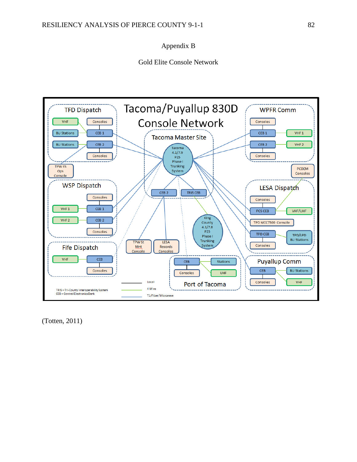### Appendix B

Gold Elite Console Network



(Totten, 2011)